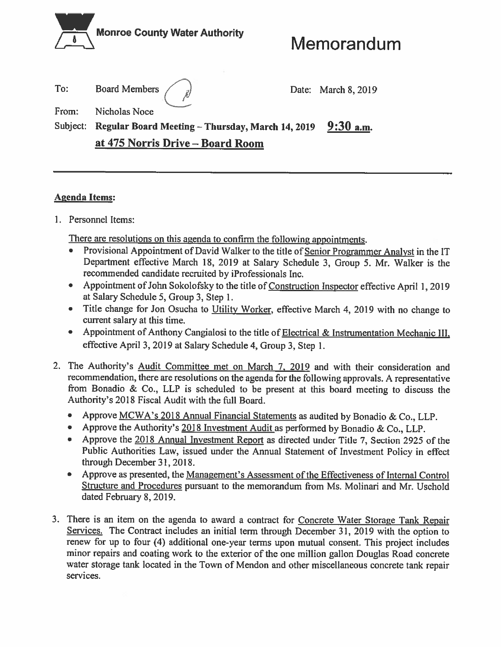

# Memorandum

To: **Board Members** Date: March 8, 2019 From: **Nicholas Noce** Subject: Regular Board Meeting - Thursday, March 14, 2019  $9:30$  a.m. at 475 Norris Drive - Board Room

## **Agenda Items:**

1. Personnel Items:

There are resolutions on this agenda to confirm the following appointments.

- Provisional Appointment of David Walker to the title of Senior Programmer Analyst in the IT Department effective March 18, 2019 at Salary Schedule 3, Group 5. Mr. Walker is the recommended candidate recruited by iProfessionals Inc.
- Appointment of John Sokolofsky to the title of Construction Inspector effective April 1, 2019 at Salary Schedule 5, Group 3, Step 1.
- Title change for Jon Osucha to Utility Worker, effective March 4, 2019 with no change to  $\bullet$ current salary at this time.
- Appointment of Anthony Cangialosi to the title of Electrical & Instrumentation Mechanic III. effective April 3, 2019 at Salary Schedule 4, Group 3, Step 1.
- 2. The Authority's Audit Committee met on March 7, 2019 and with their consideration and recommendation, there are resolutions on the agenda for the following approvals. A representative from Bonadio & Co., LLP is scheduled to be present at this board meeting to discuss the Authority's 2018 Fiscal Audit with the full Board.
	- Approve MCWA's 2018 Annual Financial Statements as audited by Bonadio & Co., LLP.
	- Approve the Authority's 2018 Investment Audit as performed by Bonadio & Co., LLP.
	- Approve the 2018 Annual Investment Report as directed under Title 7, Section 2925 of the Public Authorities Law, issued under the Annual Statement of Investment Policy in effect through December 31, 2018.
	- Approve as presented, the Management's Assessment of the Effectiveness of Internal Control Structure and Procedures pursuant to the memorandum from Ms. Molinari and Mr. Uschold dated February 8, 2019.
- 3. There is an item on the agenda to award a contract for Concrete Water Storage Tank Repair Services. The Contract includes an initial term through December 31, 2019 with the option to renew for up to four (4) additional one-year terms upon mutual consent. This project includes minor repairs and coating work to the exterior of the one million gallon Douglas Road concrete water storage tank located in the Town of Mendon and other miscellaneous concrete tank repair services.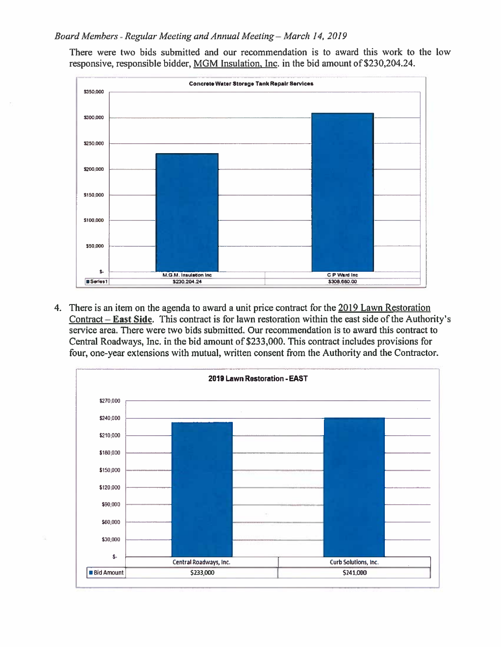## Board Members - Regular Meeting and Annual Meeting - March 14, 2019

There were two bids submitted and our recommendation is to award this work to the low responsive, responsible bidder, MGM Insulation, Inc. in the bid amount of \$230,204.24.



4. There is an item on the agenda to award a unit price contract for the 2019 Lawn Restoration  $Contract - East Side$ . This contract is for lawn restoration within the east side of the Authority's service area. There were two bids submitted. Our recommendation is to award this contract to Central Roadways, Inc. in the bid amount of \$233,000. This contract includes provisions for four, one-year extensions with mutual, written consent from the Authority and the Contractor.

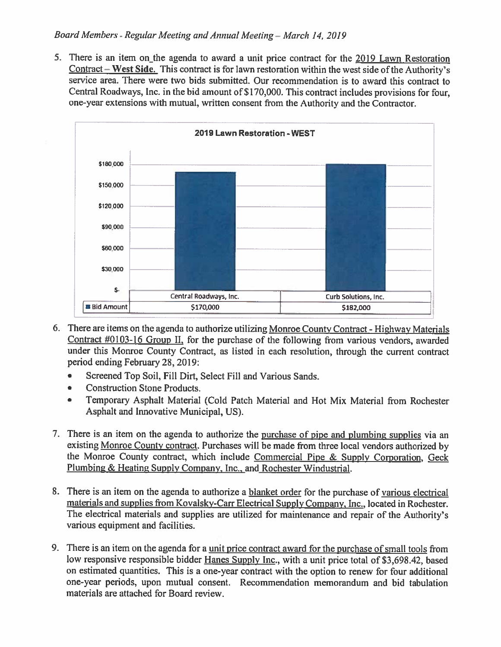5. There is an item on the agenda to award a unit price contract for the 2019 Lawn Restoration  $Content$  – West Side. This contract is for lawn restoration within the west side of the Authority's service area. There were two bids submitted. Our recommendation is to award this contract to Central Roadways, Inc. in the bid amount of \$170,000. This contract includes provisions for four. one-year extensions with mutual, written consent from the Authority and the Contractor.



- 6. There are items on the agenda to authorize utilizing Monroe County Contract Highway Materials Contract  $\#0103$ -16 Group II, for the purchase of the following from various vendors, awarded under this Monroe County Contract, as listed in each resolution, through the current contract period ending February 28, 2019:
	- Screened Top Soil, Fill Dirt, Select Fill and Various Sands.  $\bullet$
	- **Construction Stone Products.**  $\bullet$
	- Temporary Asphalt Material (Cold Patch Material and Hot Mix Material from Rochester  $\bullet$ Asphalt and Innovative Municipal, US).
- 7. There is an item on the agenda to authorize the purchase of pipe and plumbing supplies via an existing Monroe County contract. Purchases will be made from three local vendors authorized by the Monroe County contract, which include Commercial Pipe & Supply Corporation, Geck Plumbing & Heating Supply Company, Inc., and Rochester Windustrial.
- 8. There is an item on the agenda to authorize a blanket order for the purchase of various electrical materials and supplies from Kovalsky-Carr Electrical Supply Company, Inc., located in Rochester. The electrical materials and supplies are utilized for maintenance and repair of the Authority's various equipment and facilities.
- 9. There is an item on the agenda for a unit price contract award for the purchase of small tools from low responsive responsible bidder Hanes Supply Inc., with a unit price total of \$3,698.42, based on estimated quantities. This is a one-year contract with the option to renew for four additional one-year periods, upon mutual consent. Recommendation memorandum and bid tabulation materials are attached for Board review.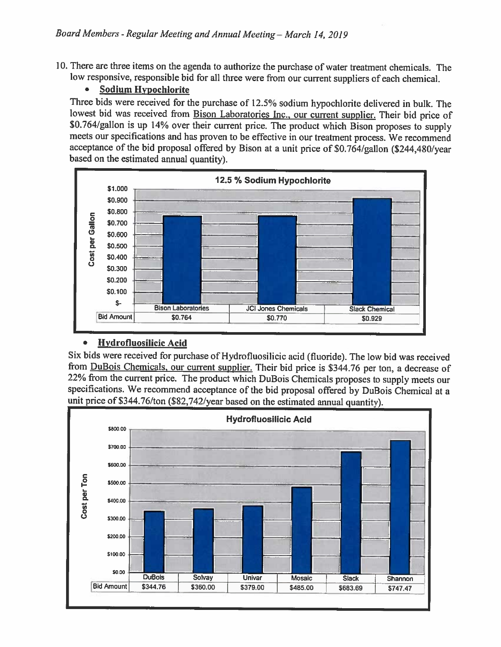10. There are three items on the agenda to authorize the purchase of water treatment chemicals. The low responsive, responsible bid for all three were from our current suppliers of each chemical.

## **Sodium Hypochlorite**

Three bids were received for the purchase of 12.5% sodium hypochlorite delivered in bulk. The lowest bid was received from Bison Laboratories Inc., our current supplier. Their bid price of \$0.764/gallon is up 14% over their current price. The product which Bison proposes to supply meets our specifications and has proven to be effective in our treatment process. We recommend acceptance of the bid proposal offered by Bison at a unit price of \$0.764/gallon (\$244,480/year based on the estimated annual quantity).



#### $\bullet$ **Hydrofluosilicic Acid**

Six bids were received for purchase of Hydrofluosilicic acid (fluoride). The low bid was received from DuBois Chemicals, our current supplier. Their bid price is \$344.76 per ton, a decrease of 22% from the current price. The product which DuBois Chemicals proposes to supply meets our specifications. We recommend acceptance of the bid proposal offered by DuBois Chemical at a unit price of \$344.76/ton (\$82,742/year based on the estimated annual quantity).

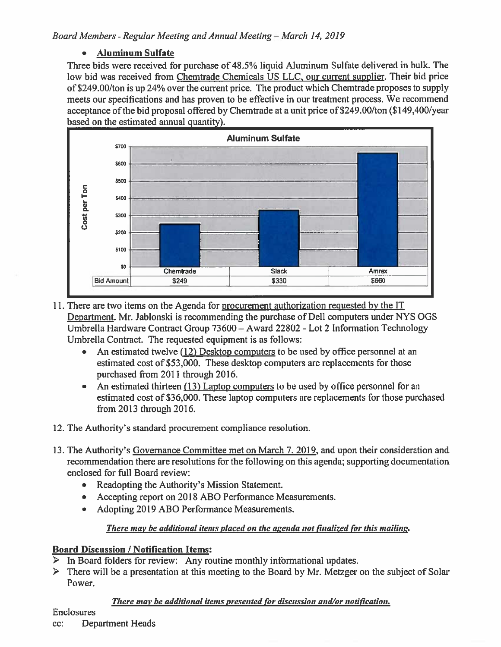#### $\bullet$ **Aluminum Sulfate**

Three bids were received for purchase of 48.5% liquid Aluminum Sulfate delivered in bulk. The low bid was received from Chemtrade Chemicals US LLC, our current supplier. Their bid price of \$249.00/ton is up 24% over the current price. The product which Chemitrade proposes to supply meets our specifications and has proven to be effective in our treatment process. We recommend acceptance of the bid proposal offered by Chemirade at a unit price of \$249.00/ton (\$149,400/year based on the estimated annual quantity).



- 11. There are two items on the Agenda for procurement authorization requested by the IT Department. Mr. Jablonski is recommending the purchase of Dell computers under NYS OGS Umbrella Hardware Contract Group 73600 - Award 22802 - Lot 2 Information Technology Umbrella Contract. The requested equipment is as follows:
	- An estimated twelve (12) Desktop computers to be used by office personnel at an estimated cost of \$53,000. These desktop computers are replacements for those purchased from 2011 through 2016.
	- An estimated thirteen (13) Laptop computers to be used by office personnel for an estimated cost of \$36,000. These laptop computers are replacements for those purchased from 2013 through 2016.
- 12. The Authority's standard procurement compliance resolution.
- 13. The Authority's Governance Committee met on March 7, 2019, and upon their consideration and recommendation there are resolutions for the following on this agenda; supporting documentation enclosed for full Board review:
	- Readopting the Authority's Mission Statement.  $\bullet$
	- Accepting report on 2018 ABO Performance Measurements.
	- Adopting 2019 ABO Performance Measurements.

## There may be additional items placed on the agenda not finalized for this mailing.

## **Board Discussion / Notification Items:**

- $\triangleright$  In Board folders for review: Any routine monthly informational updates.
- $\triangleright$  There will be a presentation at this meeting to the Board by Mr. Metzger on the subject of Solar Power.

## There may be additional items presented for discussion and/or notification.

## **Enclosures**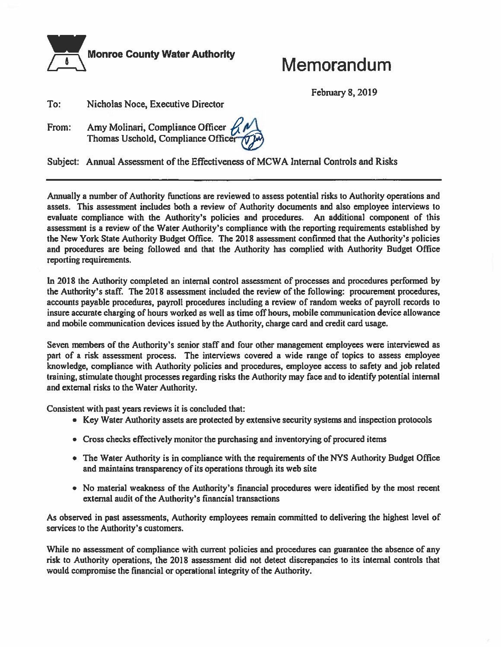

## Memorandum

**February 8, 2019** 

To: Nicholas Noce, Executive Director

Amy Molinari, Compliance Officer<br>Thomas Uschold, Compliance Office From:



Subject: Annual Assessment of the Effectiveness of MCWA Internal Controls and Risks

Annually a number of Authority functions are reviewed to assess potential risks to Authority operations and assets. This assessment includes both a review of Authority documents and also employee interviews to evaluate compliance with the Authority's policies and procedures. An additional component of this assessment is a review of the Water Authority's compliance with the reporting requirements established by the New York State Authority Budget Office. The 2018 assessment confirmed that the Authority's policies and procedures are being followed and that the Authority has complied with Authority Budget Office reporting requirements.

In 2018 the Authority completed an internal control assessment of processes and procedures performed by the Authority's staff. The 2018 assessment included the review of the following: procurement procedures, accounts payable procedures, payroll procedures including a review of random weeks of payroll records to insure accurate charging of hours worked as well as time off hours, mobile communication device allowance and mobile communication devices issued by the Authority, charge card and credit card usage.

Seven members of the Authority's senior staff and four other management employees were interviewed as part of a risk assessment process. The interviews covered a wide range of topics to assess employee knowledge, compliance with Authority policies and procedures, employee access to safety and job related training, stimulate thought processes regarding risks the Authority may face and to identify potential internal and external risks to the Water Authority.

Consistent with past years reviews it is concluded that:

- Key Water Authority assets are protected by extensive security systems and inspection protocols
- Cross checks effectively monitor the purchasing and inventorying of procured items
- The Water Authority is in compliance with the requirements of the NYS Authority Budget Office and maintains transparency of its operations through its web site
- No material weakness of the Authority's financial procedures were identified by the most recent external audit of the Authority's financial transactions

As observed in past assessments, Authority employees remain committed to delivering the highest level of services to the Authority's customers.

While no assessment of compliance with current policies and procedures can guarantee the absence of any risk to Authority operations, the 2018 assessment did not detect discrepancies to its internal controls that would compromise the financial or operational integrity of the Authority.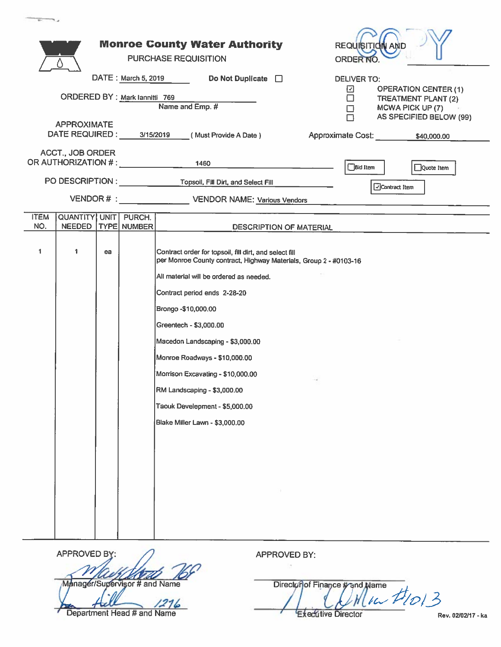|                    |                                                                  |    |                                | <b>Monroe County Water Authority</b><br>REQUISITION AN<br><b>PURCHASE REQUISITION</b><br><b>ORDER NO</b>                    |
|--------------------|------------------------------------------------------------------|----|--------------------------------|-----------------------------------------------------------------------------------------------------------------------------|
|                    |                                                                  |    | DATE: March 5, 2019            |                                                                                                                             |
|                    |                                                                  |    |                                | Do Not Duplicate $\Box$<br><b>DELIVER TO:</b><br>⊡<br><b>OPERATION CENTER (1)</b>                                           |
|                    |                                                                  |    | ORDERED BY : Mark lannitti 769 | $\Box$<br>TREATMENT PLANT (2)<br>Name and Emp. #<br>MCWA PICK UP (7)<br>□                                                   |
|                    | <b>APPROXIMATE</b>                                               |    |                                | AS SPECIFIED BELOW (99)                                                                                                     |
|                    | DATE REQUIRED: 3/15/2019                                         |    |                                | (Must Provide A Date)<br>Approximate Cost: \$40,000.00                                                                      |
|                    | <b>ACCT., JOB ORDER</b><br>OR AUTHORIZATION # : ________________ |    |                                | 1460<br><b>Bid Item</b><br>Quote Item                                                                                       |
|                    |                                                                  |    |                                | Contract Item                                                                                                               |
|                    |                                                                  |    |                                | VENDOR # : VENDOR NAME: Various Vendors                                                                                     |
| <b>ITEM</b><br>NO. | QUANTITY UNIT PURCH.                                             |    |                                |                                                                                                                             |
|                    | <b>NEEDED</b>                                                    |    | TYPE NUMBER                    | DESCRIPTION OF MATERIAL                                                                                                     |
| 1                  | 1                                                                | ea |                                | Contract order for topsoil, fill dirt, and select fill<br>per Monroe County contract, Highway Materials, Group 2 - #0103-16 |
|                    |                                                                  |    |                                | All material will be ordered as needed.                                                                                     |
|                    |                                                                  |    |                                | Contract period ends 2-28-20                                                                                                |
|                    |                                                                  |    |                                | Brongo - \$10,000.00                                                                                                        |
|                    |                                                                  |    |                                | Greentech - \$3,000.00                                                                                                      |
|                    |                                                                  |    |                                | Macedon Landscaping - \$3,000.00                                                                                            |
|                    |                                                                  |    |                                | Monroe Roadways - \$10,000.00                                                                                               |
|                    |                                                                  |    |                                | Morrison Excavating - \$10,000.00                                                                                           |
|                    |                                                                  |    |                                | RM Landscaping - \$3,000.00                                                                                                 |
|                    |                                                                  |    |                                | Taouk Develepment - \$5,000.00                                                                                              |
|                    |                                                                  |    |                                | Blake Miller Lawn - \$3,000.00                                                                                              |
|                    |                                                                  |    |                                |                                                                                                                             |
|                    |                                                                  |    |                                |                                                                                                                             |
|                    |                                                                  |    |                                |                                                                                                                             |
|                    |                                                                  |    |                                |                                                                                                                             |
|                    |                                                                  |    |                                |                                                                                                                             |
|                    |                                                                  |    |                                |                                                                                                                             |
|                    |                                                                  |    |                                |                                                                                                                             |

| APPROVED BY:                  |
|-------------------------------|
| <u> SI USTA</u>               |
| Manager/Supervisor # and Name |
|                               |
| Department Head # and Name    |

APPROVED BY:

Director of Finance # and Name<br>
Here Here 11013 **Executive Director** 

Rev. 02/02/17 - ka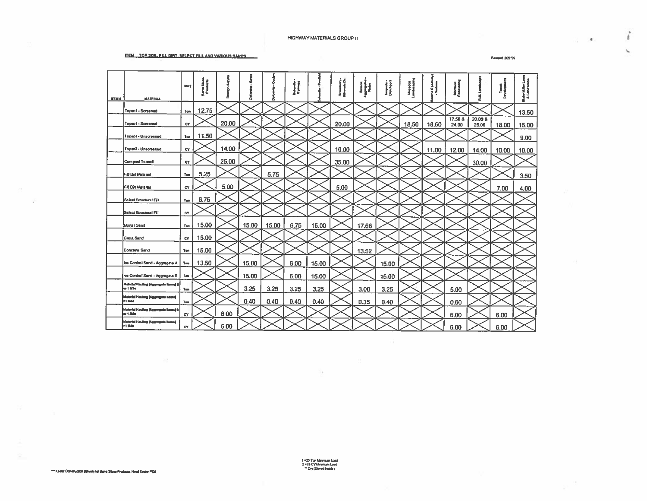#### **ITEM TOP SON. FRI. DIRT. SELECT FILL AND VARIOUS SANDS**

 $\sim 10^{-11}$ 

Reveal 2/27/29

 $\stackrel{\circ}{t}$ 

 $\mathcal{L}$ 

 $\mathcal{A}=\{\mathbf{A}\}_{\mathcal{A}}$  .

| <b>ITEM #</b> | <b>MATERIAL</b>                                   | UNIT      | Barnida<br>Produc |       |       |       | Dolomin<br>Falmyn |       | Orouniads -<br>Minimilia | i<br>II | Imquole -<br>Brachport |       |       | ł                |                  |       | ᠼ     |
|---------------|---------------------------------------------------|-----------|-------------------|-------|-------|-------|-------------------|-------|--------------------------|---------|------------------------|-------|-------|------------------|------------------|-------|-------|
|               | Topsoil - Screened                                | Ton       | 12.75             |       |       |       |                   |       |                          |         |                        |       |       |                  |                  |       | 13.50 |
|               | Topsoil - Screened                                | <b>CY</b> |                   | 20.00 |       |       |                   |       | 20.00                    |         |                        | 18.50 | 18.50 | 17.50 &<br>24.00 | 20.00 &<br>25.00 | 18.00 | 15.00 |
|               | Topsol - Unscreened                               | Ton       | 11.50             |       |       |       |                   |       |                          |         |                        |       |       |                  |                  |       | 9.00  |
|               | Topsoll - Unscreened                              | CY        |                   | 14.00 |       |       |                   |       | 10.00                    |         |                        |       | 11.00 | 12.00            | 14.00            | 10.00 | 10.00 |
|               | <b>Compost Topsol</b>                             | <b>CY</b> |                   | 25.00 |       |       |                   |       | 35.00                    |         |                        |       |       |                  | 30.00            |       |       |
|               | F20 Dirt Meterist                                 | Test      | 5.25              |       |       | 5.75  |                   |       |                          |         |                        |       |       |                  |                  |       | 3.50  |
|               | <b>Fill Dirt Material</b>                         | CY        |                   | 5.00  |       |       |                   |       | 5.00                     |         |                        |       |       |                  |                  | 7.00  | 4.00  |
|               | Select Structurn! FBI                             | Ton       | 8.75              |       |       |       |                   |       |                          |         |                        |       |       |                  |                  |       |       |
|               | <b>Select Structural Filt</b>                     | CY        |                   |       |       |       |                   |       |                          |         |                        |       |       |                  |                  |       |       |
|               | Morter Send                                       | Ton       | 15.00             |       | 15.00 | 15.00 | 6.75              | 15.00 |                          | 17.68   |                        |       |       |                  |                  |       |       |
|               | <b>Grout Sand</b>                                 | c٧        | 15.00             |       |       |       |                   |       |                          |         |                        |       |       |                  |                  |       |       |
|               | Concrete Sand                                     | Ten.      | 15.00             |       |       |       |                   |       |                          | 13.52   |                        |       |       |                  |                  |       |       |
|               | Ica Control Sand - Aggregate A                    | Ton       | 13.50             |       | 15.00 |       | 6.00              | 15.00 |                          |         | 15.00                  |       |       |                  |                  |       |       |
|               | Ice Control Send - Aggregate B                    | Ton       |                   |       | 15.00 |       | 6.00              | 15.00 |                          |         | 15.00                  |       |       |                  |                  |       |       |
|               | Motorial Hauling (Aggregate Items) 8<br>to 1 Mile | Ton       |                   |       | 3.25  | 3.25  | 3.25              | 3.25  |                          | 3.00    | 3.25                   |       |       | 5.00             |                  |       |       |
|               | Material Hauling (Aggregate Nems)<br>>† Milo      | Test      |                   |       | 0.40  | 0.40  | 0.40              | 0.40  |                          | 0.35    | 0.40                   |       |       | 0.60             |                  |       |       |
|               | Material Hauling (Aggregate Beess) 6<br>to 1 Mile | <b>CY</b> |                   | 6.00  |       |       |                   |       |                          |         |                        |       |       | 6.00             |                  | 6.00  |       |
|               | Motorial Hauling (Aggregate Home)<br>>1 Mile      | <b>CY</b> |                   | 6.00  |       |       |                   |       |                          |         |                        |       |       | 6.00             |                  | 6.00  |       |

1 = 20 Ton Meximum Lond<br>2 = 15 CY Meximum Lond<br>^ Dry (Stored Inside)

59.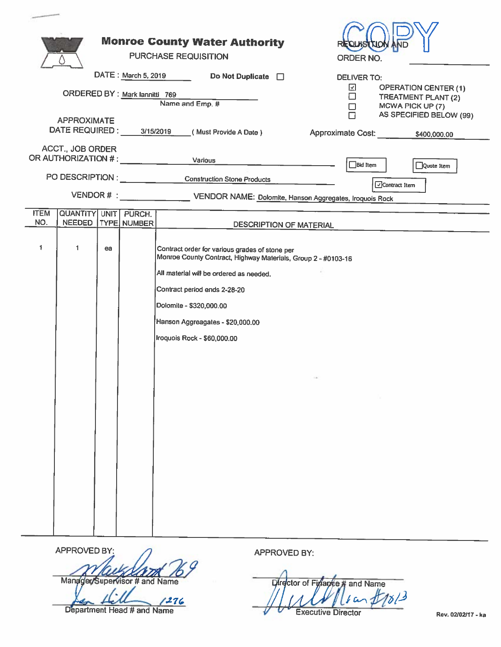|                                                         | <b>Monroe County Water Authority</b><br><b>PURCHASE REQUISITION</b>                                                                                                                                                                                                                      | ORDER NO.                                                                                                                            |
|---------------------------------------------------------|------------------------------------------------------------------------------------------------------------------------------------------------------------------------------------------------------------------------------------------------------------------------------------------|--------------------------------------------------------------------------------------------------------------------------------------|
|                                                         | DATE: March 5, 2019<br>Do Not Duplicate $\Box$                                                                                                                                                                                                                                           | <b>DELIVER TO:</b>                                                                                                                   |
| <b>APPROXIMATE</b>                                      | ORDERED BY : Mark lannitti 769<br>Name and Emp. #                                                                                                                                                                                                                                        | ☑<br><b>OPERATION CENTER (1)</b><br>$\Box$<br>TREATMENT PLANT (2)<br>MCWA PICK UP (7)<br>$\Box$<br>$\Box$<br>AS SPECIFIED BELOW (99) |
| DATE REQUIRED: 3/15/2019                                | (Must Provide A Date)                                                                                                                                                                                                                                                                    | Approximate Cost: _____ ____ \$400,000.00                                                                                            |
| ACCT., JOB ORDER<br>OR AUTHORIZATION # : ______________ | Various                                                                                                                                                                                                                                                                                  | $\Box$ Bid Item<br>Quote Item                                                                                                        |
|                                                         | PO DESCRIPTION : Construction Stone Products                                                                                                                                                                                                                                             |                                                                                                                                      |
|                                                         | VENDOR # : _________________________ VENDOR NAME: Dolomite, Hanson Aggregates, Iroquois Rock                                                                                                                                                                                             | □Contract Item                                                                                                                       |
| <b>ITEM</b><br>QUANTITY UNIT PURCH.                     |                                                                                                                                                                                                                                                                                          |                                                                                                                                      |
| NO.<br><b>NEEDED</b>                                    | TYPE NUMBER                                                                                                                                                                                                                                                                              | DESCRIPTION OF MATERIAL                                                                                                              |
| 1<br>1<br>ea                                            | Contract order for various grades of stone per<br>Monroe County Contract, Highway Materials, Group 2 - #0103-16<br>All material will be ordered as needed.<br>Contract period ends 2-28-20<br>Dolomite - \$320,000.00<br>Hanson Aggreagates - \$20,000.00<br>Iroquois Rock - \$60,000.00 | THE S                                                                                                                                |

APPROVED BY Manager/Supervisor # and Name

Department Head # and Name

APPROVED BY:

and Name Director of Finance  $#1813$  $\overline{a}$ **Executive Director** 

Rev. 02/02/17 - ka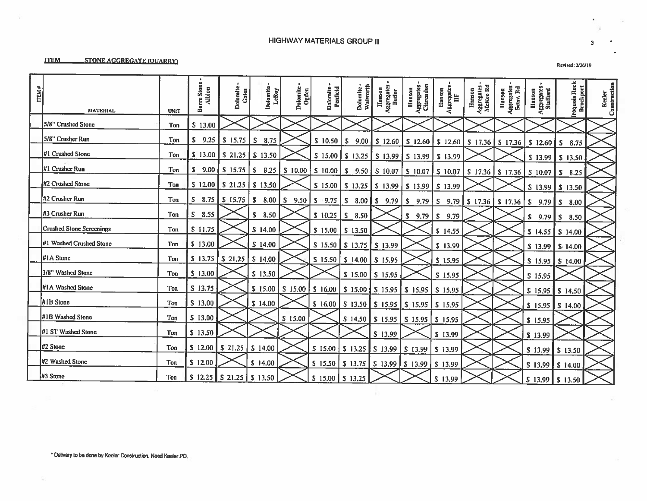### **HIGHWAY MATERIALS GROUP II**

#### **ITEM STONE AGGREGATE (OUARRY)**

| ITEM# | <b>MATERIAL</b>          | <b>UNIT</b> | <b>Barre Stone</b><br>Alblon  | Dolomite<br>Gates                     | Dolomite<br>LeRoy | Dolomite<br>Ogden | Dolomite -<br>Penfield | Dolomite-<br>Walworth                   | Hanson<br>Aggregates<br>Butler                                                                                                | Aggregates -<br>Clarendon<br>Ilanson | Hanson<br>Aggregates<br>IIF | Aggregates -<br>McKee Rd<br>Hanson | Aggregates<br>Scisv. Rd<br>Hanson | Aggregates<br>Stafford<br>Hanson | <b>Iraquois Rock</b><br><b>Brockport</b> | keler<br>Construction |
|-------|--------------------------|-------------|-------------------------------|---------------------------------------|-------------------|-------------------|------------------------|-----------------------------------------|-------------------------------------------------------------------------------------------------------------------------------|--------------------------------------|-----------------------------|------------------------------------|-----------------------------------|----------------------------------|------------------------------------------|-----------------------|
|       | 5/8" Crushed Stone       | <b>Ton</b>  | \$13.00                       |                                       |                   |                   |                        |                                         |                                                                                                                               |                                      |                             |                                    |                                   |                                  |                                          |                       |
|       | 5/8" Crusher Run         | Ton         | S.                            | $9.25$ S 15.75                        | l S<br>8.75       |                   | \$10.50                |                                         |                                                                                                                               |                                      |                             |                                    |                                   | $S$ 12.60                        | $S$ 8.75                                 |                       |
|       | #1 Crushed Stone         | Ton         |                               | $$13.00$ $$21.25$ $$13.50$            |                   |                   | $S$ 15.00              |                                         | $\vert$ \$ 13.25 $\vert$ \$ 13.99 $\vert$ \$ 13.99 $\vert$ \$ 13.99                                                           |                                      |                             |                                    |                                   |                                  | $$13.99$ $$13.50$                        |                       |
|       | #1 Crusher Run           | Ton         |                               |                                       |                   |                   |                        |                                         | $\vert$ \$ 10.00 $\vert$ \$ 9.50 $\vert$ \$ 10.07 $\vert$ \$ 10.07 $\vert$ \$ 10.07 $\vert$ \$ 17.36 $\vert$ \$ 17.36 $\vert$ |                                      |                             |                                    |                                   | $S$ 10.07                        | 8.25<br>s                                |                       |
|       | #2 Crushed Stone         | Ton         |                               | $S$ 12.00 $S$ 21.25 $S$ 13.50         |                   |                   |                        |                                         | $S$ 15.00   S 13.25   S 13.99   S 13.99   S 13.99                                                                             |                                      |                             |                                    |                                   |                                  | $$13.99$ $$13.50$                        |                       |
|       | #2 Crusher Run           | Ton         | S.                            | $8.75$ $\vert$ S 15.75 $\vert$ S 8.00 |                   | $S$ 9.50 $S$ 9.75 |                        |                                         | $S$ 8.00 $S$ 9.79 $S$ 9.79 $S$ 9.79 $S$ 17.36 $S$ 17.36 $S$ 9.79                                                              |                                      |                             |                                    |                                   |                                  | S.<br>8.00                               |                       |
|       | #3 Crusher Run           | Ton         | S.<br>8.55                    |                                       | $S$ 8.50          |                   | $S$ 10.25 $S$ 8.50     |                                         |                                                                                                                               | $S$ 9.79                             | $\vert S \vert 9.79$        |                                    |                                   | $9.79$ $\sqrt{s}$<br>s.          | 8.50                                     |                       |
|       | Crushed Stone Screenings | Ton         | \$11.75                       |                                       | \$14.00           |                   | $S$ 15.00 $S$ 13.50    |                                         |                                                                                                                               |                                      | $S$ 14.55                   |                                    |                                   | $S$ 14.55 $S$ 14.00              |                                          |                       |
|       | #1 Washed Crushed Stone  | Ton         | \$13.00                       |                                       | \$14.00           |                   |                        | $S$ 15.50 $\mid S$ 13.75 $\mid S$ 13.99 |                                                                                                                               |                                      | \$13.99                     |                                    |                                   | $S$ 13.99 $\parallel$ S 14.00    |                                          |                       |
|       | #IA Stone                | <b>Ton</b>  | $S$ 13.75 $\mid S$ 21.25      |                                       | $S$ 14,00         |                   |                        | S 15.50   S 14.00   S 15.95             |                                                                                                                               |                                      | \$15.95                     |                                    |                                   | $S$ 15.95 $S$ 14.00              |                                          |                       |
|       | 3/8" Washed Stone        | Ton         | $S$ 13.00                     |                                       | $S$ 13.50         |                   |                        | $S$ 15.00 $S$ 15.95                     |                                                                                                                               |                                      | \$15.95                     |                                    |                                   | \$15.95                          |                                          |                       |
|       | #1A Washed Stone         | Ton         | \$13.75                       |                                       | \$15.00           |                   |                        |                                         | $\vert$ S 15.00 $\vert$ S 16.00 $\vert$ S 15.00 $\vert$ S 15.95 $\vert$ S 15.95 $\vert$ S 15.95                               |                                      |                             |                                    |                                   | $$15.95$ $$14.50$                |                                          |                       |
|       | #1B Stone                | Ton         | \$13.00                       |                                       | \$14.00           |                   |                        |                                         | \$ 16.00   \$ 13.50   \$ 15.95   \$ 15.95                                                                                     |                                      | $S$ 15.95                   |                                    |                                   | $S$ 15.95 $S$ 14.00              |                                          |                       |
|       | #1B Washed Stone         | Ton         | \$13.00                       |                                       |                   | $S$ 15.00         |                        |                                         | \$ 14.50 \$ 15.95 \$ 15.95                                                                                                    |                                      | $S$ 15.95                   |                                    |                                   | \$15.95                          |                                          |                       |
|       | #1 ST Washed Stone       | <b>Ton</b>  | \$13.50                       |                                       |                   |                   |                        |                                         | $S$ 13.99                                                                                                                     |                                      | \$13.99                     |                                    |                                   | \$13.99                          |                                          |                       |
|       | #2 Stone                 | Ton         | $S$ 12.00                     | $S$ 21.25                             | $S$ 14.00         |                   | $S$ 15.00              | $S$ 13.25                               | \$13.99                                                                                                                       | $S$ 13.99                            | \$13.99                     |                                    |                                   | $S$ 13.99                        | $S$ 13.50                                |                       |
|       | #2 Washed Stone          | Ton         | \$12.00                       |                                       | \$14.00           |                   |                        |                                         | $\vert$ \$ 15.50 $\vert$ \$ 13.75 $\vert$ \$ 13.99 $\vert$ \$ 13.99 $\vert$ \$ 13.99                                          |                                      |                             |                                    |                                   | \$13.99                          | $S$ 14.00                                |                       |
|       | #3 Stone                 | <b>Ton</b>  | $S$ 12.25 $S$ 21.25 $S$ 13.50 |                                       |                   |                   | $S$ 15.00 $S$ 13.25    |                                         |                                                                                                                               |                                      | $S$ 13.99                   |                                    |                                   | $S$ 13.99 $S$ 13.50              |                                          |                       |

Revised: 2/26/19

 $\mathbf{3}$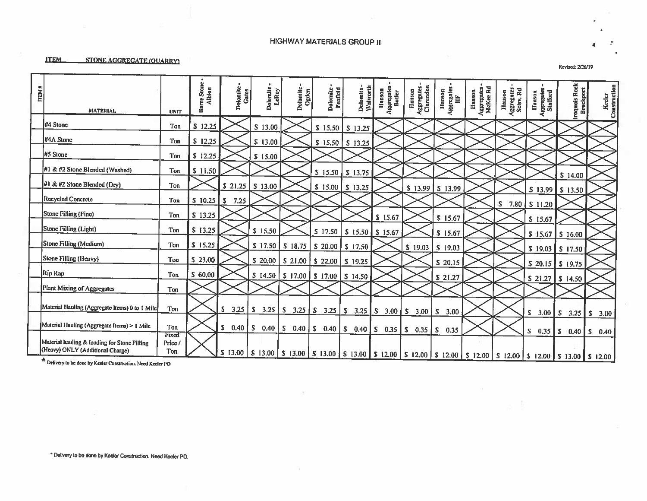### **HIGHWAY MATERIALS GROUP II**

**STONE AGGREGATE (OUARRY)** 

| <b>ITEM #</b> | <b>MATERIAL</b>                                                                             | <b>UNIT</b>            | Barre Stone<br>Albion | Dolomite.<br>Gates | Dolomite<br>LeRoy | Dolomite<br>Ogden                                         | Dolomite -<br>Penfield | Walworth<br>Dolomite      | Aggregates<br>Butler<br>Hanson | Aggregates -<br>Clarendon<br>Hanson   | Aggregates<br>IIF<br>Hanson | Hanson<br>Aggregates -<br>McKee Rd | Aggregates<br>Setsv, Rd<br>Hanson | Aggregates<br>Stafford<br>Hanson | Iraquois Rock<br>Brockport                                                                                                                                 | Keeler<br>Construction |
|---------------|---------------------------------------------------------------------------------------------|------------------------|-----------------------|--------------------|-------------------|-----------------------------------------------------------|------------------------|---------------------------|--------------------------------|---------------------------------------|-----------------------------|------------------------------------|-----------------------------------|----------------------------------|------------------------------------------------------------------------------------------------------------------------------------------------------------|------------------------|
|               | #4 Stone                                                                                    | Ton                    | \$12.25               |                    | \$13.00           |                                                           | $S$ 15.50              | $S$ 13.25                 |                                |                                       |                             |                                    |                                   |                                  |                                                                                                                                                            |                        |
|               | #4A Stone                                                                                   | Ton                    | \$12.25               |                    | \$13.00           |                                                           | $S$ 15.50              | $S$ 13.25                 |                                |                                       |                             |                                    |                                   |                                  |                                                                                                                                                            |                        |
|               | #5 Stone                                                                                    | Ton                    | \$12.25               |                    | \$15.00           |                                                           |                        |                           |                                |                                       |                             |                                    |                                   |                                  |                                                                                                                                                            |                        |
|               | #1 & #2 Stone Blended (Washed)                                                              | Ton                    | \$11.50               |                    |                   |                                                           | $S$ 15.50              | $S$ 13.75                 |                                |                                       |                             |                                    |                                   |                                  | \$14.00                                                                                                                                                    |                        |
|               | #1 & #2 Stone Blended (Dry)                                                                 | Ton                    |                       | \$21.25            | $S$ 13.00         |                                                           |                        | $S$ 15.00 $S$ 13.25       |                                | $S$ 13.99                             | $S$ 13.99                   |                                    |                                   |                                  | $S$ 13.99 $S$ 13.50                                                                                                                                        |                        |
|               | <b>Recycled Concrete</b>                                                                    | Ton                    | $S$ 10.25 $S$         | 7.25               |                   |                                                           |                        |                           |                                |                                       |                             |                                    | S                                 | $7.80$   S 11.20                 |                                                                                                                                                            |                        |
|               | <b>Stone Filling (Fine)</b>                                                                 | Ton                    | \$13.25               |                    |                   |                                                           |                        |                           | \$15.67                        |                                       | $S$ 15.67                   |                                    |                                   | \$15.67                          |                                                                                                                                                            |                        |
|               | Stone Filling (Light)                                                                       | Ton                    | \$13.25               |                    | $S$ 15.50         |                                                           |                        | $S$ 17.50 S 15.50 S 15.67 |                                |                                       | \$15.67                     |                                    |                                   | \$15.67                          | $S$ 16.00                                                                                                                                                  |                        |
|               | <b>Stone Filling (Medium)</b>                                                               | <b>Ton</b>             | \$15.25               |                    | $S$ 17.50         | $S$ 18.75 $S$ 20.00 $S$ 17.50                             |                        |                           |                                | \$19.03                               | $S$ 19.03                   |                                    |                                   | \$19.03                          | $S$ 17.50                                                                                                                                                  |                        |
|               | Stone Filling (Heavy)                                                                       | Ton                    | \$23.00               |                    | \$20.00           | \$21.00                                                   | $S$ 22.00 $S$ 19.25    |                           |                                |                                       | \$20.15                     |                                    |                                   | \$20.15                          | $S$ 19.75                                                                                                                                                  |                        |
|               | Rip Rap                                                                                     | Ton                    | \$60.00               |                    |                   | $S$ 14.50 $S$ 17.00 $S$ 17.00 $S$ 14.50                   |                        |                           |                                |                                       | \$21.27                     |                                    |                                   | \$ 21.27                         | \$14.50                                                                                                                                                    |                        |
|               | Plant Mixing of Aggregates                                                                  | Ton                    |                       |                    |                   |                                                           |                        |                           |                                |                                       |                             |                                    |                                   |                                  |                                                                                                                                                            |                        |
|               | Material Hauling (Aggregate Items) 0 to 1 Mile                                              | Ton                    |                       |                    |                   | $S$ 3.25 $S$ 3.25 $S$ 3.25 $S$ 3.25 $S$ 3.25 $S$ 3.25 $S$ |                        |                           | $3.00$ $\vert$ S               | $3.00$   S                            | 3.00                        |                                    |                                   | s.<br>$3.00$ $\vert$ S           |                                                                                                                                                            | $3.25$ \$ 3.00         |
|               | Material Hauling (Aggregate Items) > 1 Mile                                                 | Ton                    |                       | S.<br>0.40         | S.                | $0.40$   S $0.40$   S $0.40$   S $0.40$                   |                        |                           |                                | $\vert$ S 0.35 $\vert$ S 0.35 $\vert$ | 0.35<br>S                   |                                    |                                   |                                  |                                                                                                                                                            |                        |
|               | Material hauling & loading for Stone Filling<br>(Heavy) ONLY (Additional Charge)<br>$x = 1$ | Fixed<br>Price/<br>Ton |                       |                    |                   |                                                           |                        |                           |                                |                                       |                             |                                    |                                   | S.<br>0.35                       | $\begin{bmatrix} \text{S} & 0.40 \end{bmatrix}$<br>S 13.00 S 13.00 S 13.00 S 13.00 S 13.00 S 13.00 S 12.00 S 12.00 S 12.00 S 12.00 S 12.00 S 13.00 S 13.00 | S.<br>0.40             |

\* Delivery to be done by Keeler Construction. Need Keeler PO

Revised: 2/26/19

 $\boldsymbol{4}$ 

**ITEM**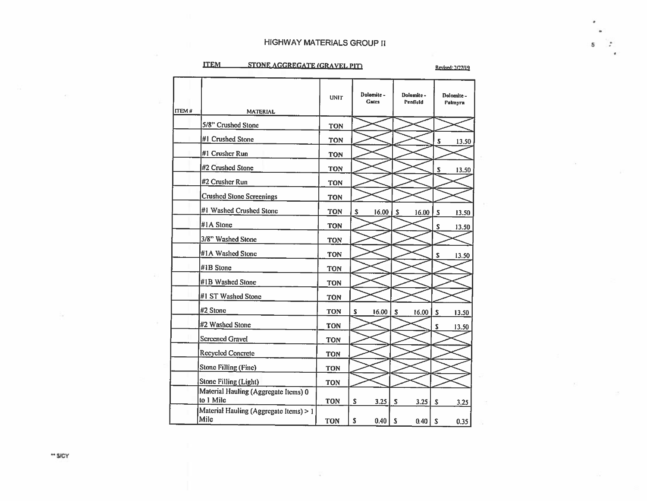### **HIGHWAY MATERIALS GROUP II**

#### STONE AGGREGATE (GRAVEL PIT) **ITEM**

Revised: 2/27/19

5

| <b>ITEM #</b> | <b>MATERIAL</b>                                   | <b>UNIT</b> | Dolomite -<br><b>Gates</b> | Dolomite-<br>Penfield | Dolomite -<br>Palmyra |
|---------------|---------------------------------------------------|-------------|----------------------------|-----------------------|-----------------------|
|               | 5/8" Crushed Stone                                | <b>TON</b>  |                            |                       |                       |
|               | #1 Crushed Stone                                  | <b>TON</b>  |                            |                       | s<br>13.50            |
|               | #1 Crusher Run                                    | <b>TON</b>  |                            |                       |                       |
|               | #2 Crushed Stone                                  | <b>TON</b>  |                            |                       | S<br>13.50            |
|               | #2 Crusher Run                                    | <b>TON</b>  |                            |                       |                       |
|               | <b>Crushed Stone Screenings</b>                   | <b>TON</b>  |                            |                       |                       |
|               | #1 Washed Crushed Stone                           | <b>TON</b>  | s<br>16.00                 | S<br>16.00            | \$<br>13.50           |
|               | #1A Stone                                         | <b>TON</b>  |                            |                       | S<br>13.50            |
|               | 3/8" Washed Stone                                 | <b>TON</b>  |                            |                       |                       |
|               | #1A Washed Stone                                  | <b>TON</b>  |                            |                       | S<br>13.50            |
|               | #1B Stone                                         | <b>TON</b>  |                            |                       |                       |
|               | #1B Washed Stone                                  | <b>TON</b>  |                            |                       |                       |
|               | #1 ST Washed Stone                                | <b>TON</b>  |                            |                       |                       |
|               | #2 Stone                                          | <b>TON</b>  | s<br>16.00                 | S<br>16.00            | $\mathsf{s}$<br>13.50 |
|               | #2 Washed Stone                                   | <b>TON</b>  |                            |                       | S<br>13.50            |
|               | <b>Screened Gravel</b>                            | <b>TON</b>  |                            |                       |                       |
|               | <b>Recycled Concrete</b>                          | <b>TON</b>  |                            |                       |                       |
|               | <b>Stone Filling (Fine)</b>                       | <b>TON</b>  |                            |                       |                       |
|               | <b>Stone Filling (Light)</b>                      | <b>TON</b>  |                            |                       |                       |
|               | Material Hauling (Aggregate Items) 0<br>to 1 Mile | <b>TON</b>  | s<br>3.25                  | S<br>3.25             | S<br>3.25             |
|               | Material Hauling (Aggregate Items) > 1<br>Mile    | <b>TON</b>  | \$<br>0.40                 | S<br>0.40             | S<br>0.35             |

¥

\*\* S/CY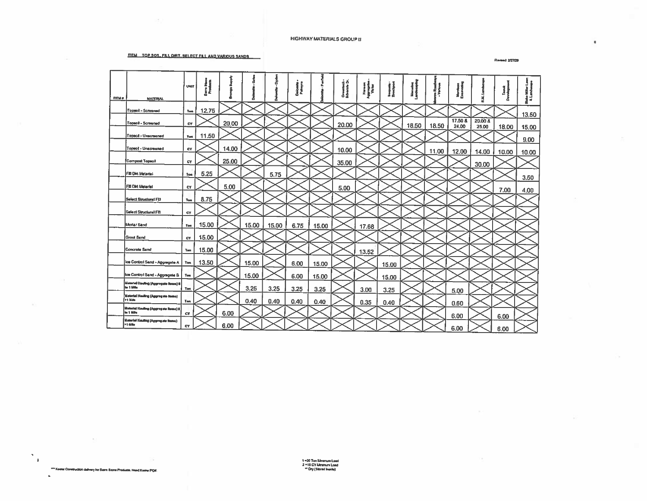#### TEM TOP SON. FRI DIRT, SELECT FLL AND VARIOUS SANDS

**Revised 2/27/29** 

 $\sim$ 

 $\bullet$ 

| <b>TTEM #</b> | <b>MATERIAL</b>                                           | UNIT       | Į     |       |       |       | Dadomin<br>Palmyra |       | Ciremteca -<br>Silverole Dr. | Hampshire<br>Montan | Imquais<br>Dreabport | 4     |       | H               |                  | e<br>A | H     |
|---------------|-----------------------------------------------------------|------------|-------|-------|-------|-------|--------------------|-------|------------------------------|---------------------|----------------------|-------|-------|-----------------|------------------|--------|-------|
|               | Topsol - Screened                                         | Ton        | 12.75 |       |       |       |                    |       |                              |                     |                      |       |       |                 |                  |        | 13.50 |
|               | Topeoll - Screened                                        | <b>CY</b>  |       | 20,00 |       |       |                    |       | 20.00                        |                     |                      | 18.50 | 18.50 | 17.50B<br>24.00 | 20.00 &<br>25.00 | 18.00  | 15.00 |
|               | Topsol - Unacreened                                       | <b>Ton</b> | 11.50 |       |       |       |                    |       |                              |                     |                      |       |       |                 |                  |        | 9.00  |
|               | Topsoi - Unscreened                                       | c٧         |       | 14.00 |       |       |                    |       | 10.00                        |                     |                      |       | 11.00 | 12.00           | 14.00            | 10.00  | 10.00 |
|               | Compost Topaol                                            | CY         |       | 25.00 |       |       |                    |       | 35.00                        |                     |                      |       |       |                 | 30.00            |        |       |
|               | Fill Dirt Material                                        | Tom        | 5.25  |       |       | 5.75  |                    |       |                              |                     |                      |       |       |                 |                  |        | 3.50  |
|               | <b>FII Dirt Meterial</b>                                  | CY         |       | 5.00  |       |       |                    |       | 5.00                         |                     |                      |       |       |                 |                  | 7.00   | 4.00  |
|               | Select Structural Fill                                    | <b>Ton</b> | 8.75  |       |       |       |                    |       |                              |                     |                      |       |       |                 |                  |        |       |
|               | <b>Select Structure! F11</b>                              | <b>CY</b>  |       |       |       |       |                    |       |                              |                     |                      |       |       |                 |                  |        |       |
|               | Mortar Sand                                               | Ton        | 15,00 |       | 15.00 | 15.00 | 6.75               | 15,00 |                              | 17.68               |                      |       |       |                 |                  |        |       |
|               | Grout Sand                                                | CY         | 15.00 |       |       |       |                    |       |                              |                     |                      |       |       |                 |                  |        |       |
|               | Concrete Send                                             | Ton        | 15.00 |       |       |       |                    |       |                              | 13.52               |                      |       |       |                 |                  |        |       |
|               | Ice Control Sand - Aggregate A                            | Ten        | 13.50 |       | 15.00 |       | 6.00               | 15.00 |                              |                     | 15.00                |       |       |                 |                  |        |       |
|               | Ice Control Send - Aggregate B                            | Ton        |       |       | 15.00 |       | 6.00               | 15.00 |                              |                     | 15.00                |       |       |                 |                  |        |       |
|               | Materiel Houling (Aggregate Nems) 6<br><b>Sec 1 Miles</b> | Ton        |       |       | 3.25  | 3.25  | 3.25               | 3.25  |                              | 3.00                | 3.25                 |       |       | 5.00            |                  |        |       |
|               | Neterial Hasiling (Aggregate Hema)<br>i>ı Mile            | Ton        |       |       | 0.40  | 0.40  | 0.40               | 0.40  |                              | 0.35                | 0.40                 |       |       | 0.60            |                  |        |       |
|               | Meterial Flouding (Aggregate Rome) 0<br><b>in 1 Mile</b>  | CY         |       | 6.00  |       |       |                    |       |                              |                     |                      |       |       | 6.00            |                  | 6.00   |       |
|               | (Idalerini Hauling (Aggregate Nome)<br><b>11 Miller</b>   | <b>CY</b>  |       | 6.00  |       |       |                    |       |                              |                     |                      |       |       | 6.00            |                  | 6.00   |       |

\*\*\* Keeler Construction delivery for Bank Stone Products. Need Keeler POIP.

 $\mathcal{H}$  $\sim 10$ 

 $\Delta$ 

1 = 20 Ton Meximum Load<br>2 = 15 CY Meximum Load<br>\*\* Dry (Stored Inaida)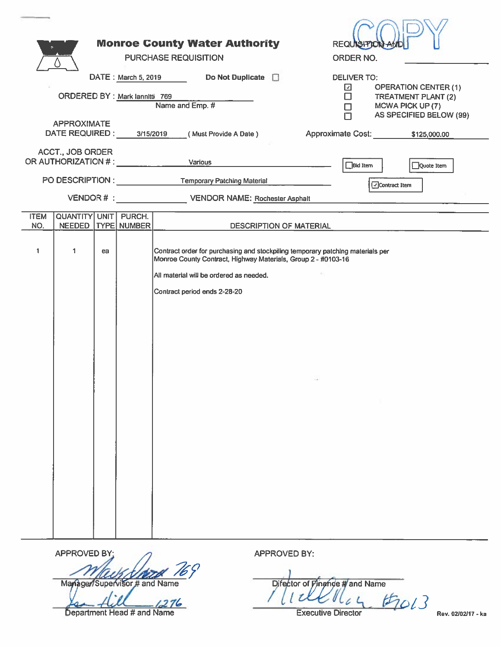|                    |                                              |    |                     | <b>Monroe County Water Authority</b><br><b>PURCHASE REQUISITION</b>                                                                                                                                                        |        | REQUISITION AN<br>ORDER NO.       |                                |                                                    |  |
|--------------------|----------------------------------------------|----|---------------------|----------------------------------------------------------------------------------------------------------------------------------------------------------------------------------------------------------------------------|--------|-----------------------------------|--------------------------------|----------------------------------------------------|--|
|                    | ORDERED BY : Mark lannitti 769               |    | DATE: March 5, 2019 | Do Not Duplicate <b>D</b><br>Name and Emp. #                                                                                                                                                                               |        | <b>DELIVER TO:</b><br>⊡<br>П<br>□ | MCWA PICK UP (7)               | <b>OPERATION CENTER (1)</b><br>TREATMENT PLANT (2) |  |
|                    | <b>APPROXIMATE</b>                           |    |                     | DATE REQUIRED: 3/15/2019 (Must Provide A Date)                                                                                                                                                                             |        |                                   | Approximate Cost: \$125,000.00 | AS SPECIFIED BELOW (99)                            |  |
|                    | ACCT., JOB ORDER                             |    |                     | OR AUTHORIZATION # : Various                                                                                                                                                                                               |        | $\Box$ Bid Item                   |                                | Quote Item                                         |  |
|                    |                                              |    |                     | PO DESCRIPTION : Temporary Patching Material<br>VENDOR # : VENDOR NAME: Rochester Asphalt                                                                                                                                  |        |                                   | □ Contract Item                |                                                    |  |
| <b>ITEM</b><br>NO. | <b>QUANTITY UNIT PURCH.</b><br><b>NEEDED</b> |    | TYPE NUMBER         | DESCRIPTION OF MATERIAL                                                                                                                                                                                                    |        |                                   |                                |                                                    |  |
| 1                  | 1                                            | ea |                     | Contract order for purchasing and stockpiling temporary patching materials per<br>Monroe County Contract, Highway Materials, Group 2 - #0103-16<br>All material will be ordered as needed.<br>Contract period ends 2-28-20 | $\sim$ |                                   | -97                            |                                                    |  |

**APPROVED BY** Manager/Supervisor # and Name

 $1276$ 

Department Head # and Name

APPROVED BY:

Difector of Phande Wand Name

Rev. 02/02/17 - ka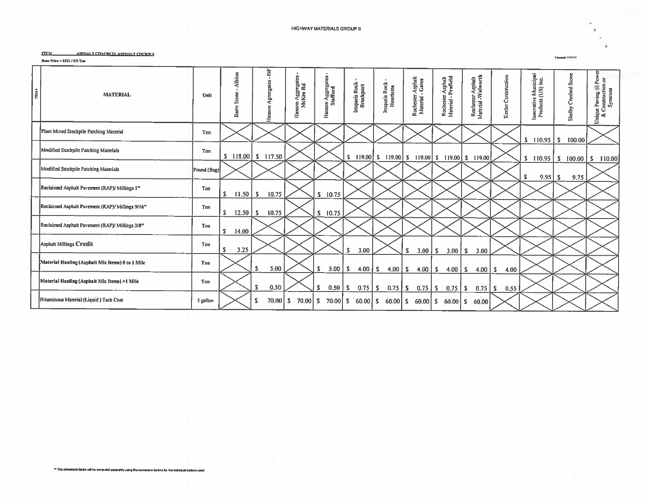**Tower Stores** 

 $\bar{z}$ 

#### **ITEM\_** ASPIIALT CONCRETE ASPIIALT COURSES

Here Price =  $3521 / US$  Ton

| i | <b>MATERIAL</b>                                  | Unit        | Albion<br>Stone<br>仙<br>Bar       | È.<br>Agreegates<br>mson<br>z | son Aggregates -<br>McKee Rd<br><b>Hanson</b> | Hanson Aggregates<br>Stafford | Iroquois Rock<br>Brockport | Iroquois Rock-<br>Henrietta                            | r Asphalt<br>- Gates<br>Rochester.<br>Material - | Rochester Asphalt<br>Material - Penfield | Rochester Asphalt<br>Material -Walworth | Keeler Construction | e Municipal<br>(US) Inc.<br>Innovative I<br>Products (I | Shelby Crushed Stone             | Pow<br>ue Paving @ Pow<br>: Construction or<br>Synacusa<br>Unique |
|---|--------------------------------------------------|-------------|-----------------------------------|-------------------------------|-----------------------------------------------|-------------------------------|----------------------------|--------------------------------------------------------|--------------------------------------------------|------------------------------------------|-----------------------------------------|---------------------|---------------------------------------------------------|----------------------------------|-------------------------------------------------------------------|
|   | Plant Mixed Stockpile Patching Material          | Ton         |                                   |                               |                                               |                               |                            |                                                        |                                                  |                                          |                                         |                     | $S$ 110.95 $\vert S \vert$                              | 100,00                           |                                                                   |
|   | Modified Stockpile Patching Materials            | Ton         |                                   | $S$ 118.00 $S$ 117.50         |                                               |                               |                            | $S$ 119.00 $S$ 119.00 $S$ 119.00 $S$ 119.00 $S$ 119.00 |                                                  |                                          |                                         |                     |                                                         | $S$ 110.95 $S$ 100.00 $S$ 110.00 |                                                                   |
|   | Modified Stockpile Patching Materials            | Pound (Bag) |                                   |                               |                                               |                               |                            |                                                        |                                                  |                                          |                                         |                     | s                                                       | 9.75                             |                                                                   |
|   | Reclaimed Asphalt Pavement (RAP)/ Millings 1"    | Ton         | $\vert 11.50 \vert S \vert$<br>S. | 10.75                         |                                               | S.<br>10.75                   |                            |                                                        |                                                  |                                          |                                         |                     |                                                         |                                  |                                                                   |
|   | Reclaimed Asphalt Pavement (RAP)/ Millings 9/16" | Ton         | $12.50$ $\sqrt{S}$<br>s           | 10.75                         |                                               | $S$ 10.75                     |                            |                                                        |                                                  |                                          |                                         |                     |                                                         |                                  |                                                                   |
|   | Reclaimed Asphalt Pavement (RAP)/ Millings 3/8"  | Ton         | S.<br>14.00                       |                               |                                               |                               |                            |                                                        |                                                  |                                          |                                         |                     |                                                         |                                  |                                                                   |
|   | Asphalt Millings Credit                          | Ton         | S.<br>3.25                        |                               |                                               |                               | <b>S</b><br>3.00           |                                                        | $3.00 \,   \, S$<br>s                            | $3.00$   S                               | 3.00                                    |                     |                                                         |                                  |                                                                   |
|   | Material Hauling (Asphalt Mix Items) 0 to 1 Mile | Ton         |                                   | 5.00<br><b>S</b>              |                                               | 5.00<br>-S                    | $4.00$ $\mid$ S<br>-5      | $4.00$   S                                             | $4.00$   S                                       | $4.00$ S                                 | $4.00$   S                              | 4.00                |                                                         |                                  |                                                                   |
|   | Material Hauling (Asphalt Mix Items) >1 Mile     | Ton         |                                   | S<br>0.50                     |                                               | . S.<br>0.50                  | -S.<br>$0.75$   S          | $0.75$ S                                               | $0.75$ S                                         | $0.75$ $\mid$ S                          | $0.75$ $\vert S \vert$                  | 0.55                |                                                         |                                  |                                                                   |
|   | Bituminous Material (Liquid) Tack Coat           | 5 gallon    |                                   | 70,00<br>s                    | S.<br>$70.00$ S                               | 70.00 S                       |                            | $60.00$ S $60.00$ S $60.00$ S                          |                                                  | $60.00$ S                                | 60.00                                   |                     |                                                         |                                  |                                                                   |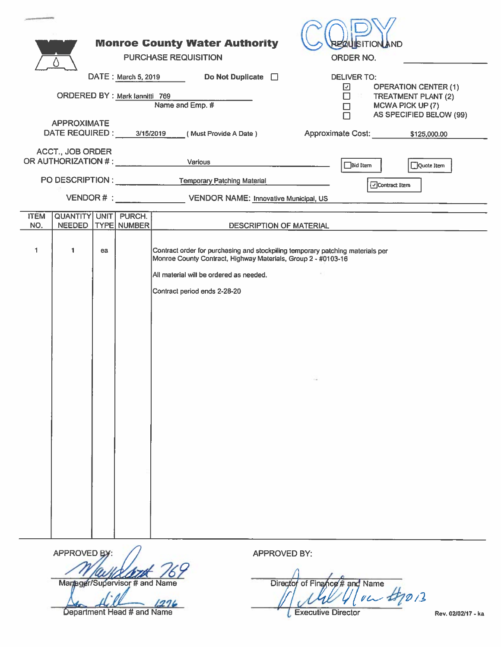|                                                                  | <b>Monroe County Water Authority</b>                                                                                                                                                                                       | <b>REQUISITION AND</b>                                                                |
|------------------------------------------------------------------|----------------------------------------------------------------------------------------------------------------------------------------------------------------------------------------------------------------------------|---------------------------------------------------------------------------------------|
|                                                                  | PURCHASE REQUISITION                                                                                                                                                                                                       | ORDER NO.                                                                             |
|                                                                  | Do Not Duplicate <b>D</b><br>DATE: March 5, 2019                                                                                                                                                                           | <b>DELIVER TO:</b>                                                                    |
| ORDERED BY: Mark lannitti 769                                    |                                                                                                                                                                                                                            | <b>OPERATION CENTER (1)</b><br>☑<br>$\mathbb{C}^n$ .<br>$\Box$<br>TREATMENT PLANT (2) |
|                                                                  | Name and Emp. #                                                                                                                                                                                                            | MCWA PICK UP (7)<br>$\Box$<br>AS SPECIFIED BELOW (99)<br>П                            |
| <b>APPROXIMATE</b><br>DATE REQUIRED: 3/15/2019                   | (Must Provide A Date)                                                                                                                                                                                                      | Approximate Cost: \$125,000.00                                                        |
| <b>ACCT., JOB ORDER</b><br>OR AUTHORIZATION # : ________________ | Various                                                                                                                                                                                                                    | $\Box$ Bid Item<br>Quote Item                                                         |
|                                                                  | PO DESCRIPTION : Temporary Patching Material                                                                                                                                                                               | □ Contract Item                                                                       |
|                                                                  | VENDOR # : VENDOR NAME: Innovative Municipal, US                                                                                                                                                                           |                                                                                       |
| QUANTITY UNIT PURCH.<br><b>ITEM</b>                              |                                                                                                                                                                                                                            |                                                                                       |
| NEEDED   TYPE NUMBER<br>NO.                                      | DESCRIPTION OF MATERIAL                                                                                                                                                                                                    |                                                                                       |
| 1<br>1<br>ea                                                     | Contract order for purchasing and stockpiling temporary patching materials per<br>Monroe County Contract, Highway Materials, Group 2 - #0103-16<br>All material will be ordered as needed.<br>Contract period ends 2-28-20 |                                                                                       |

**APPROVED** Martager/Supervisor # and Name

 $1276$ Department Head # and Name

APPROVED BY:

Director of Finance # and Name

**L** Executive Director

Rev. 02/02/17 - ka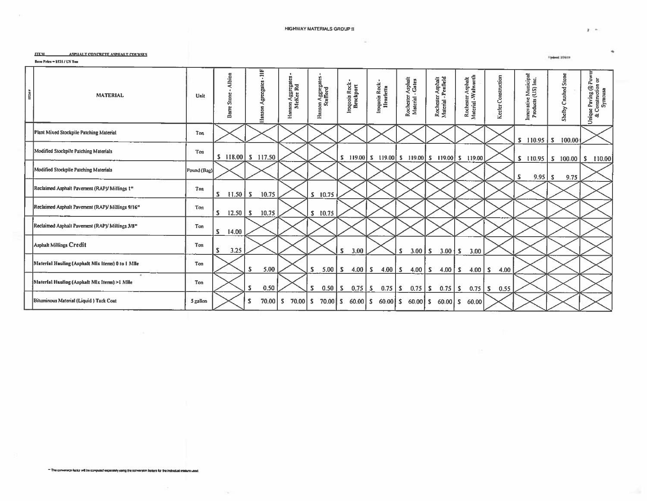#### **HIGHWAY MATERIALS GROUP !!**

×

#### **ITEM** ASPIIALT CONCRETE ASPIIALT COURSES

Bose Price =  $5511$  / US Tuu

|     |                                                   |             | Albion                            | ŧ                     | son Aggregates -<br>McKee Rd |                               |                             |                               |                                       | r Asphalt<br>Penfield                             |                                          |                     |                                            |                           |                                                       |
|-----|---------------------------------------------------|-------------|-----------------------------------|-----------------------|------------------------------|-------------------------------|-----------------------------|-------------------------------|---------------------------------------|---------------------------------------------------|------------------------------------------|---------------------|--------------------------------------------|---------------------------|-------------------------------------------------------|
| max | <b>MATERIAL</b>                                   | Unit        | Stone<br>Barre                    | Agregates<br>Hanson   | Hanson.                      | Hanson Aggregates<br>Stafford | Iroquois Rock-<br>Brockport | Iroquois Rock -<br>Henrietta  | Rochester Asphalt<br>Material - Gates | Rochester<br>Material - P                         | Rochester Asphalt<br>Material - Walworth | Keeler Construction | Innovative Municipal<br>Products (US) Inc. | Shelby Crushed Stone      | Unique Paving @ Power<br>& Construction or<br>Symeusa |
|     | Plant Mixed Stockpile Patching Material           | <b>Ton</b>  |                                   |                       |                              |                               |                             |                               |                                       |                                                   |                                          |                     | $S$ 110.95   S                             | 100.00                    |                                                       |
|     | Modified Stockpile Patching Materials             | Ton         |                                   | $S$ 118.00 $S$ 117.50 |                              |                               |                             |                               |                                       | \$ 119.00 \$ 119.00 \$ 119.00 \$ 119.00 \$ 119.00 |                                          |                     | $S$ 110.95                                 | $S = 100,00$ $S = 110,00$ |                                                       |
|     | Modified Stockpile Patching Materials             | Pound (Bag) |                                   |                       |                              |                               |                             |                               |                                       |                                                   |                                          |                     | S.<br>9.95                                 | 9,75<br>-S                |                                                       |
|     | Reclaimed Asphalt Pavement (RAP)/ Millines 1"     | Ton         | S.<br>$\vert 11.50 \vert S \vert$ | 10.75                 |                              | 10.75<br>s.                   |                             |                               |                                       |                                                   |                                          |                     |                                            |                           |                                                       |
|     | Reclaimed Asphalt Pavernent (RAP)/ Millings 9/16" | Ton         | $12.50$   S<br>s                  | 10.75                 |                              | 10.75<br>S                    |                             |                               |                                       |                                                   |                                          |                     |                                            |                           |                                                       |
|     | Reclaimed Asphalt Pavement (RAP)/ Millings 3/8"   | Ton         | s<br>14.00                        |                       |                              |                               |                             |                               |                                       |                                                   |                                          |                     |                                            |                           |                                                       |
|     | Asphalt Millings Credit                           | Ton         | -S<br>3.25                        |                       |                              |                               | S.<br>3.00                  |                               | $3.00$   S<br>s                       | $3.00 \, \text{S}$                                | 3.00                                     |                     |                                            |                           |                                                       |
|     | Material Hauling (Asphalt Mix Items) 0 to 1 Mile  | Ton         |                                   | 5.00<br>S             |                              | s<br>5.00                     | 4.00 $\vert$ S<br>ls.       | $4.00 \mid S$                 | $4.00$   S                            | $4.00$   S                                        | $4.00$ S                                 | 4.00                |                                            |                           |                                                       |
|     | Material Hauling (Asphalt Mix Items) >1 Mile      | Ton         |                                   | 0,50<br>s             |                              | -5<br>0.50                    | $0.75$ $S$<br>ls.           | $0.75$ $\vert$ S              | $0.75$ $\vert$ S                      | $0.75$ S                                          | $0.75$   S                               | 0.55                |                                            |                           |                                                       |
|     | Bituminous Material (Liquid) Tack Coat            | 5 gallon    |                                   | $70.00$ S<br>s        | $70.00$ S                    | $70.00$ S                     |                             | $60.00$ S $60.00$ S $60.00$ S |                                       | $60,00$ $\sqrt{5}$                                | 60.00                                    |                     |                                            |                           |                                                       |

\*\* The conversion factor will be computed experisivy using the conversion factors for the includual misture used.

- 50

 $\mathbf{z} \rightarrow$ 

**Spinst Stress**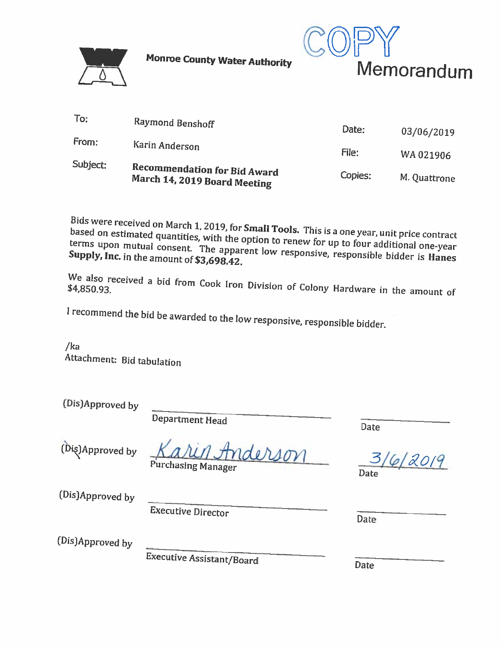

**Monroe County Water Authority** 



| Subject: | Recommendation for Bid Award<br>March 14, 2019 Board Meeting | Copies: | M. Quattrone |
|----------|--------------------------------------------------------------|---------|--------------|
|          | Karin Anderson                                               | File:   | WA 021906    |
| From:    |                                                              | Date:   | 03/06/2019   |
| To:      | Raymond Benshoff                                             |         |              |

Bids were received on March 1, 2019, for Small Tools. This is a one year, unit price contract based on estimated quantities, with the option to renew for up to four additional one-year terms upon mutual consent. The apparent low responsive, responsible bidder is Hanes Supply, Inc. in the amount of \$3,698.42.

We also received a bid from Cook Iron Division of Colony Hardware in the amount of

I recommend the bid be awarded to the low responsive, responsible bidder.

 $/ka$ Attachment: Bid tabulation

| (Dis)Approved by |                                      |      |
|------------------|--------------------------------------|------|
|                  | Department Head                      | Date |
| (Dis)Approved by | Karin Anderson<br>Purchasing Manager | Date |
| (Dis)Approved by | Executive Director                   |      |

02019

**Date** 

(Dis)Approved by

**Executive Assistant/Board** 

**Date**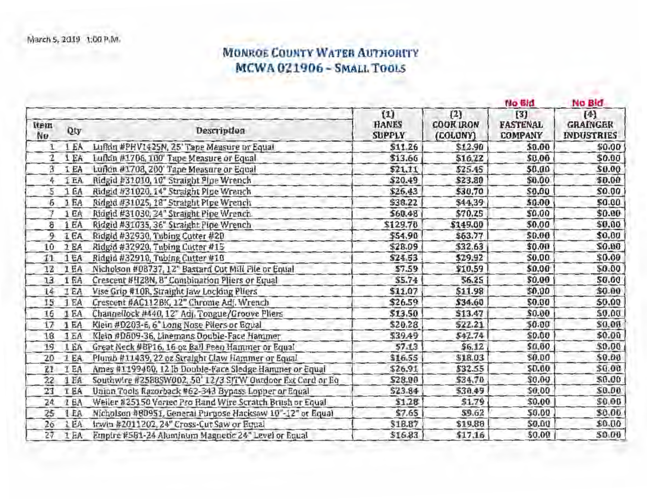## MONROE COUNTY WATER AUTHORITY MCWA 021906 - SMALL TOOLS

|            |            |                                                             |                                      |                                     | No Bld                                   | No Bid                                        |
|------------|------------|-------------------------------------------------------------|--------------------------------------|-------------------------------------|------------------------------------------|-----------------------------------------------|
| ttem<br>Nu | Qty        | Description                                                 | (1)<br><b>HANES</b><br><b>SUPPLY</b> | (2)<br><b>COOK IRON</b><br>(COLONY) | (3)<br><b>FASTENAL</b><br><b>COMPANY</b> | $[4]$<br><b>GRAINGER</b><br><b>INDUSTRIES</b> |
| 1          | 1 EA       | Lufkin #PHV1425N, 25' Tape Measure or Equal                 | \$11.26                              | \$12.90                             | \$0.00                                   | \$0.00                                        |
| 2          | 1 EA       | Lufkin #1706, 100' Tape Measure or Equal                    | \$13.66                              | \$16.22                             | \$0.00                                   | \$0.00                                        |
| з          | 1 EA       | Lufkin #1708, 200' Tape Measure or Equal                    | \$21.11                              | \$25.45                             | \$0.00                                   | \$0.00                                        |
| 4          | I EA       | Ridgid #31010, 10" Straight Plpe Wrench                     | \$20.49                              | \$23.80                             | \$0.00                                   | \$0.00                                        |
| 5          | 1EA        | Ridgid #31020, 14" Straight Pipe Wrench                     | \$26,43                              | \$30.70                             | \$0.00                                   | \$0.00                                        |
| 6          | 1EA        | Ridgid #31025, 18" Straight Pipe Wrench                     | \$38.22                              | \$44.39                             | \$0.00                                   | \$0.00                                        |
| V          | 1 EA       | Ridgid #31030, 24" Straight Pipe Wrench.                    | \$60.48                              | \$70,25                             | \$0.00                                   | \$0.00                                        |
| 8          | 1EA        | Ridgid #31035, 36" Straight Pipe Wrench                     | \$129.70                             | \$149.00                            | \$0.00                                   | \$0.00                                        |
| 9          | <b>IEA</b> | Ridgld #32930, Tubing Cutter #20                            | \$54.90                              | \$63.77                             | \$0.00                                   | \$0.00                                        |
| 10         | 1 EA       | Ridgid #32920, Tubing Cutter #15                            | \$28.09                              | \$32.63                             | \$0.00                                   | \$0.00                                        |
| 11         | 1EA        | Ridgid #32910, Tubing Cutter #10                            | \$24.53                              | \$29.92                             | \$0.00                                   | \$0.00                                        |
| 12         | I EA       | Nicholson #08737, 12" Bastard Cut Mill File or Equal        | \$7.59                               | \$10.59                             | \$0.00                                   | \$0.00                                        |
| 13         | 1EA        | Crescent #H28N, 8" Combination Pliers or Equal              | \$5.74                               | 56.25                               | \$0.00                                   | 50.00                                         |
| 14         | 1EA        | Vise Grip #10R, Straight Jaw Locking Pliers                 | \$11.07                              | \$11.98                             | \$0.00                                   | \$0.00                                        |
| 15         | 1EA        | Crescent #AC112BK, 12" Chrome Adj. Wrench                   | \$26.59                              | \$34.60                             | \$0.00                                   | \$0.00                                        |
| 16         | 1 EA       | Channellock #440, 12" Adj. Tongue/Groove Pliers             | \$13.50                              | \$13.47                             | \$0.00                                   | \$0.00                                        |
| 17         | 1EA        | Klein #D203-6, 6" Long Nose Pilers or Equal                 | \$20.28                              | \$22.21                             | \$0.00                                   | \$0.00                                        |
| 18         | 1EA        | Klein #D809-36, Linemans Double-Face Hammer                 | \$39.49                              | 542.74                              | \$0.00                                   | \$0.00                                        |
| 19         | 1 EA       | Great Neck #BP16, 16 oz Ball Peen Hammer or Equal           | 57.13                                | \$6.12                              | \$0.00                                   | \$0.00                                        |
| 20         | 1 EA       | Plumb #11439, 22 oz Straight Claw Hammer or Equal           | \$16.55                              | \$18.03                             | \$0.00                                   | \$0.00                                        |
| 21         | 1EA        | Ames #1199400, 12 lb Double-Face Sledge Hammer or Equal     | \$26.91                              | \$32.55                             | 50.00                                    | \$0.00                                        |
| 22         | 1EA        | Southwire #2588SW002, 50' 12/3 SJTW Outdoor Ext Cord or Eq. | \$28.00                              | \$34.70                             | \$0.00                                   | \$0.00                                        |
| 23         | I EA       | Union Tools Razorback #62-343 Bypass Lopper or Equal        | \$23.84                              | \$30.49                             | \$0.00                                   | \$0.00                                        |
| 24         | 1EA        | Weiler #25150 Vortec Pro Rand Wire Scratch Brush or Equal   | \$1.28                               | \$1.79                              | \$0.00                                   | \$0.00                                        |
| 25         | 1EA        | Nicholson #80951, General Purpose Hacksaw 10"-12" or Equal  | \$7.65                               | \$9.62                              | \$0.00                                   | \$0.00                                        |
| 26         | 1 EA       | Irwin #2011202, 24" Cross-Cut Saw or Equal                  | \$18.87                              | \$19.88                             | \$0.00                                   | \$0.00                                        |
| 27         | 1EA        | Empire #581-24 Aluminum Magnetic 24" Level or Equal         | \$16.83                              | \$17.16                             | \$0.00                                   | 50.00                                         |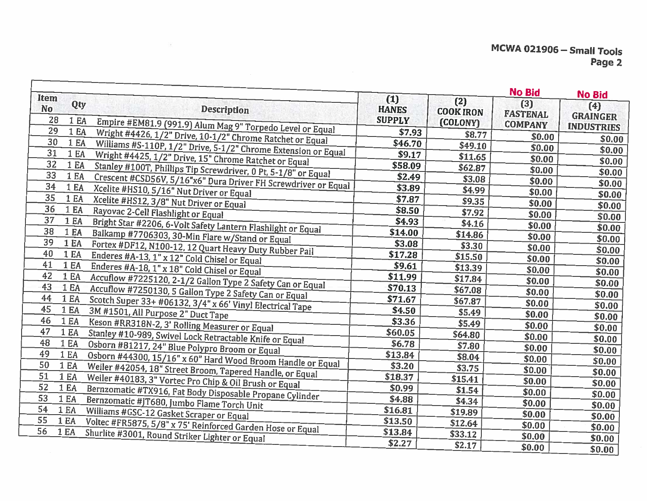|                         |                  |                                                                                                                         |                                      |                                     | <b>No Bid</b>          | <b>No Bid</b>          |
|-------------------------|------------------|-------------------------------------------------------------------------------------------------------------------------|--------------------------------------|-------------------------------------|------------------------|------------------------|
| Item<br><b>No</b><br>28 | Qty<br>1 EA      | <b>Description</b>                                                                                                      | (1)<br><b>HANES</b><br><b>SUPPLY</b> | (2)<br><b>COOK IRON</b><br>(COLONY) | (3)<br><b>FASTENAL</b> | (4)<br><b>GRAINGER</b> |
| 29                      | 1 EA             | Empire #EM81.9 (991.9) Alum Mag 9" Torpedo Level or Equal                                                               | \$7.93                               | \$8.77                              | <b>COMPANY</b>         | <b>INDUSTRIES</b>      |
| 30                      | 1 EA             | Wright #4426, 1/2" Drive, 10-1/2" Chrome Ratchet or Equal                                                               | \$46.70                              | \$49.10                             | \$0.00                 | \$0.00                 |
| 31                      | 1 EA             | Williams #S-110P, 1/2" Drive, 5-1/2" Chrome Extension or Equal<br>Wright #4425, 1/2" Drive, 15" Chrome Ratchet or Equal | \$9.17                               | \$11.65                             | \$0.00                 | \$0.00                 |
| 32                      | 1 EA             |                                                                                                                         | \$58.09                              | \$62.87                             | \$0.00                 | \$0.00                 |
| 33                      | 1 EA             | Stanley #100T, Phillips Tip Screwdriver, 0 Pt, 5-1/8" or Equal                                                          | \$2.49                               | \$3.08                              | \$0.00                 | \$0.00                 |
| 34                      | 1 EA             | Crescent #CSD56V, 5/16"x6" Dura Driver FH Screwdriver or Equal<br>Xcelite #HS10, 5/16" Nut Driver or Equal              | \$3.89                               | \$4.99                              | \$0.00                 | \$0.00                 |
| 35                      | 1 EA             | Xcelite #HS12, 3/8" Nut Driver or Equal                                                                                 | \$7.87                               | \$9.35                              | \$0.00                 | \$0.00                 |
| 36                      | 1 EA             | Rayovac 2-Cell Flashlight or Equal                                                                                      | \$8.50                               | \$7.92                              | \$0.00<br>\$0.00       | \$0.00                 |
| 37                      | 1 EA             | Bright Star #2206, 6-Volt Safety Lantern Flashlight or Equal                                                            | \$4.93                               | \$4.16                              | \$0.00                 | \$0.00                 |
| 38                      | 1 EA             | Balkamp #7706303, 30-Min Flare w/Stand or Equal                                                                         | \$14.00                              | \$14.86                             | \$0.00                 | \$0.00                 |
| 39                      | 1 EA             | Fortex #DF12, N100-12, 12 Quart Heavy Duty Rubber Pail                                                                  | \$3.08                               | \$3.30                              | \$0.00                 | \$0.00                 |
| 40                      | 1EA              | Enderes #A-13, 1" x 12" Cold Chisel or Equal                                                                            | \$17.28                              | \$15.50                             | \$0.00                 | \$0.00                 |
| 41                      | 1EA              | Enderes #A-18, 1" x 18" Cold Chisel or Equal                                                                            | \$9.61                               | \$13.39                             | \$0.00                 | \$0.00                 |
| 42                      | 1EA              | Accuflow #7225120, 2-1/2 Gallon Type 2 Safety Can or Equal                                                              | \$11.99                              | \$17.84                             | \$0.00                 | \$0.00                 |
| 43                      | 1 E <sub>A</sub> | Accuflow #7250130, 5 Gallon Type 2 Safety Can or Equal                                                                  | \$70.13                              | \$67.08                             | \$0.00                 | \$0.00                 |
| 44                      | 1EA              | Scotch Super 33+ #06132, 3/4" x 66' Vinyl Electrical Tape                                                               | \$71.67                              | \$67.87                             | \$0.00                 | \$0.00                 |
| 45                      | <b>1 EA</b>      | 3M #1501, All Purpose 2" Duct Tape                                                                                      | \$4.50                               | \$5.49                              | \$0.00                 | \$0.00                 |
| 46                      | 1 EA             | Keson #RR318N-2, 3' Rolling Measurer or Equal                                                                           | \$3.36                               | \$5.49                              | \$0.00                 | \$0.00                 |
| 47                      | 1 EA             | Stanley #10-989, Swivel Lock Retractable Knife or Equal                                                                 | \$60.05                              | \$64.80                             | \$0.00                 | \$0.00                 |
| 48                      | 1 EA             | Osborn #81217, 24" Blue Polypro Broom or Equal                                                                          | \$6.78                               | \$7.80                              | \$0.00                 | \$0.00                 |
| 49                      | 1 EA             |                                                                                                                         | \$13.84                              | \$8.04                              | \$0.00                 | \$0.00                 |
| 50                      | 1 EA             | Osborn #44300, 15/16" x 60" Hard Wood Broom Handle or Equal                                                             | \$3.20                               | \$3.75                              |                        | \$0.00                 |
| 51                      | 1EA              | Weiler #42054, 18" Street Broom, Tapered Handle, or Equal<br>Weiler #40183, 3" Vortec Pro Chip & Oil Brush or Equal     | \$18.37                              | \$15.41                             | \$0.00                 | \$0.00                 |
| 52                      | 1 EA             |                                                                                                                         | \$0.99                               | \$1.54                              | \$0.00                 | \$0.00                 |
| 53                      | 1 EA             | Bernzomatic #TX916, Fat Body Disposable Propane Cylinder<br>Bernzomatic #JT680, Jumbo Flame Torch Unit                  | \$4.88                               | \$4.34                              | \$0.00                 | \$0.00                 |
| 54                      | 1EA              | Williams #GSC-12 Gasket Scraper or Equal                                                                                | \$16.81                              | \$19.89                             | \$0.00                 | \$0.00                 |
| 55                      | 1EA              |                                                                                                                         | \$13.50                              | \$12.64                             | \$0.00                 | \$0.00                 |
| 56                      | 1 EA             | Voltec #FR5875, 5/8" x 75' Reinforced Garden Hose or Equal<br>Shurlite #3001, Round Striker Lighter or Equal            | \$13.84                              | \$33.12                             | \$0.00                 | \$0.00                 |
|                         |                  |                                                                                                                         | \$2.27                               | \$2.17                              | \$0.00                 | \$0.00                 |
|                         |                  |                                                                                                                         |                                      |                                     | \$0.00                 | \$0.00                 |

 $\overline{\Omega}$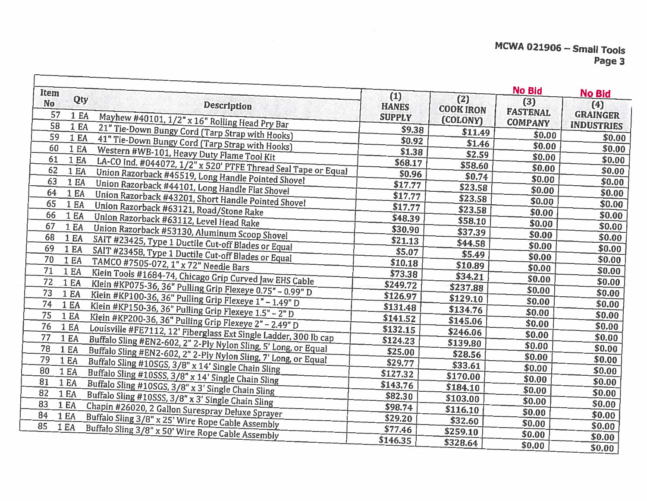| (3)<br><b>No</b><br>(4)<br><b>Description</b><br><b>HANES</b><br><b>COOK IRON</b><br><b>FASTENAL</b><br>57<br><b>GRAINGER</b><br>1 EA<br>Mayhew #40101, 1/2" x 16" Rolling Head Pry Bar<br><b>SUPPLY</b><br>(COLONY)<br><b>COMPANY</b><br><b>INDUSTRIES</b><br>58<br>1 EA<br>21" Tie-Down Bungy Cord (Tarp Strap with Hooks)<br>\$9.38<br>\$11.49<br>\$0.00<br>59<br>\$0.00<br>1 EA<br>41" Tie-Down Bungy Cord (Tarp Strap with Hooks)<br>\$0.92<br>\$1.46<br>\$0.00<br>60<br>\$0.00<br>1 EA<br>Western #WB-101, Heavy Duty Flame Tool Kit<br>\$1.38<br>\$2.59<br>\$0.00<br>61<br>\$0.00<br>1 EA<br>LA-CO Ind. #044072, 1/2" x 520' PTFE Thread Seal Tape or Equal<br>\$68.17<br>\$58.60<br>\$0.00<br>62<br>\$0.00<br>1EA<br>Union Razorback #45519, Long Handle Pointed Shovel<br>\$0.96<br>\$0.74<br>\$0.00<br>63<br>\$0.00<br>1 EA<br>Union Razorback #44101, Long Handle Flat Shovel<br>\$17.77<br>\$23.58<br>\$0.00<br>64<br>\$0.00<br>1 EA<br>Union Razorback #43201, Short Handle Pointed Shovel<br>\$17.77<br>\$23.58<br>\$0.00<br>65<br>\$0.00<br>1 EA<br>Union Razorback #63121, Road/Stone Rake<br>\$17.77<br>\$23.58<br>\$0.00<br>66<br>\$0.00<br>1 EA<br>Union Razorback #63112, Level Head Rake<br>\$48.39<br>\$58.10<br>\$0.00<br>67<br>\$0.00<br>1 EA<br>Union Razorback #53130, Aluminum Scoop Shovel<br>\$30.90<br>\$37.39<br>\$0.00<br>68<br>\$0.00<br>1 EA<br>SAIT #23425, Type 1 Ductile Cut-off Blades or Equal<br>\$21.13<br>\$44.58<br>\$0.00<br>69<br>\$0.00<br>1 EA<br>SAIT #23458, Type 1 Ductile Cut-off Blades or Equal<br>\$5.07<br>\$5.49<br>\$0.00<br>70<br>\$0.00<br>1 EA<br>TAMCO #7505-072, 1" x 72" Needle Bars<br>\$10.18<br>\$10.89<br>\$0.00<br>71<br>\$0.00<br>1EA<br>Klein Tools #1684-74, Chicago Grip Curved Jaw EHS Cable<br>\$73.38<br>\$34.21<br>\$0.00<br>72<br>\$0.00<br>1 EA<br>\$249.72<br>Klein #KP075-36, 36" Pulling Grip Flexeye 0.75" - 0.99" D<br>\$237,88<br>\$0.00<br>73<br>\$0.00<br>1 EA<br>Klein #KP100-36, 36" Pulling Grip Flexeye 1" - 1.49" D<br>\$126.97<br>\$129.10<br>\$0.00<br>$7\overline{4}$<br>\$0.00<br>1 EA<br>Klein #KP150-36, 36" Pulling Grip Flexeye 1.5" - 2" D<br>\$131.48<br>\$134.76<br>\$0.00<br>75<br>\$0.00<br><b>1 EA</b><br>Klein #KP200-36, 36" Pulling Grip Flexeye 2" - 2.49" D<br>\$141.52<br>\$145.06<br>\$0.00<br>76<br>\$0.00<br>1 EA<br>Louisville #FE7112, 12' Fiberglass Ext Single Ladder, 300 lb cap<br>\$132.15<br>\$246.06<br>\$0.00<br>\$0.00<br>77<br>1 EA<br>Buffalo Sling #EN2-602, 2" 2-Ply Nylon Sling, 5' Long, or Equal<br>\$124.23<br>\$139.80<br>\$0.00<br>78<br>\$0.00<br>1 EA<br>Buffalo Sling #EN2-602, 2" 2-Ply Nylon Sling, 7' Long, or Equal<br>\$25.00<br>\$28.56<br>\$0.00<br>\$0.00<br>79<br>1 EA<br>Buffalo Sling #10SGS, 3/8" x 14' Single Chain Sling<br>\$29.77<br>\$33.61<br>\$0.00<br>80<br>\$0.00<br>1 EA<br>Buffalo Sling #10SSS, 3/8" x 14' Single Chain Sling<br>\$127.32<br>\$170.00<br>\$0.00<br>\$0.00<br>81<br>1 EA<br>Buffalo Sling #10SGS, 3/8" x 3' Single Chain Sling<br>\$143.76<br>\$184.10<br>\$0.00<br>\$0.00<br>82<br>1 EA<br>Buffalo Sling #10SSS, 3/8" x 3' Single Chain Sling<br>\$82.30<br>\$103.00<br>\$0.00<br>\$0.00<br>83<br>1 EA<br>Chapin #26020, 2 Gallon Surespray Deluxe Sprayer<br>\$98.74<br>\$116.10<br>\$0.00<br>\$0.00<br>84<br>1 EA<br>Buffalo Sling 3/8" x 25' Wire Rope Cable Assembly<br>\$29.20<br>\$32.60<br>\$0.00<br>85<br>\$0.00<br>1 EA<br>Buffalo Sling 3/8" x 50' Wire Rope Cable Assembly<br>\$77.46<br>\$259.10<br>\$0.00<br>\$0.00<br>\$146.35<br>\$328.64<br>\$0.00<br>\$0.00 | <b>Item</b> |     |       |     | <b>No Bid</b> | No Bid |
|----------------------------------------------------------------------------------------------------------------------------------------------------------------------------------------------------------------------------------------------------------------------------------------------------------------------------------------------------------------------------------------------------------------------------------------------------------------------------------------------------------------------------------------------------------------------------------------------------------------------------------------------------------------------------------------------------------------------------------------------------------------------------------------------------------------------------------------------------------------------------------------------------------------------------------------------------------------------------------------------------------------------------------------------------------------------------------------------------------------------------------------------------------------------------------------------------------------------------------------------------------------------------------------------------------------------------------------------------------------------------------------------------------------------------------------------------------------------------------------------------------------------------------------------------------------------------------------------------------------------------------------------------------------------------------------------------------------------------------------------------------------------------------------------------------------------------------------------------------------------------------------------------------------------------------------------------------------------------------------------------------------------------------------------------------------------------------------------------------------------------------------------------------------------------------------------------------------------------------------------------------------------------------------------------------------------------------------------------------------------------------------------------------------------------------------------------------------------------------------------------------------------------------------------------------------------------------------------------------------------------------------------------------------------------------------------------------------------------------------------------------------------------------------------------------------------------------------------------------------------------------------------------------------------------------------------------------------------------------------------------------------------------------------------------------------------------------------------------------------------------------------------------------------------------------------------------------------------------------------------------------------------------------------------------------------------------------------------------------------------------------------------------------------------------------------------------------------------------------------------------------------------------------------------------------------|-------------|-----|-------|-----|---------------|--------|
|                                                                                                                                                                                                                                                                                                                                                                                                                                                                                                                                                                                                                                                                                                                                                                                                                                                                                                                                                                                                                                                                                                                                                                                                                                                                                                                                                                                                                                                                                                                                                                                                                                                                                                                                                                                                                                                                                                                                                                                                                                                                                                                                                                                                                                                                                                                                                                                                                                                                                                                                                                                                                                                                                                                                                                                                                                                                                                                                                                                                                                                                                                                                                                                                                                                                                                                                                                                                                                                                                                                                                                |             | Qty | $(1)$ | (2) |               |        |
|                                                                                                                                                                                                                                                                                                                                                                                                                                                                                                                                                                                                                                                                                                                                                                                                                                                                                                                                                                                                                                                                                                                                                                                                                                                                                                                                                                                                                                                                                                                                                                                                                                                                                                                                                                                                                                                                                                                                                                                                                                                                                                                                                                                                                                                                                                                                                                                                                                                                                                                                                                                                                                                                                                                                                                                                                                                                                                                                                                                                                                                                                                                                                                                                                                                                                                                                                                                                                                                                                                                                                                |             |     |       |     |               |        |
|                                                                                                                                                                                                                                                                                                                                                                                                                                                                                                                                                                                                                                                                                                                                                                                                                                                                                                                                                                                                                                                                                                                                                                                                                                                                                                                                                                                                                                                                                                                                                                                                                                                                                                                                                                                                                                                                                                                                                                                                                                                                                                                                                                                                                                                                                                                                                                                                                                                                                                                                                                                                                                                                                                                                                                                                                                                                                                                                                                                                                                                                                                                                                                                                                                                                                                                                                                                                                                                                                                                                                                |             |     |       |     |               |        |
|                                                                                                                                                                                                                                                                                                                                                                                                                                                                                                                                                                                                                                                                                                                                                                                                                                                                                                                                                                                                                                                                                                                                                                                                                                                                                                                                                                                                                                                                                                                                                                                                                                                                                                                                                                                                                                                                                                                                                                                                                                                                                                                                                                                                                                                                                                                                                                                                                                                                                                                                                                                                                                                                                                                                                                                                                                                                                                                                                                                                                                                                                                                                                                                                                                                                                                                                                                                                                                                                                                                                                                |             |     |       |     |               |        |
|                                                                                                                                                                                                                                                                                                                                                                                                                                                                                                                                                                                                                                                                                                                                                                                                                                                                                                                                                                                                                                                                                                                                                                                                                                                                                                                                                                                                                                                                                                                                                                                                                                                                                                                                                                                                                                                                                                                                                                                                                                                                                                                                                                                                                                                                                                                                                                                                                                                                                                                                                                                                                                                                                                                                                                                                                                                                                                                                                                                                                                                                                                                                                                                                                                                                                                                                                                                                                                                                                                                                                                |             |     |       |     |               |        |
|                                                                                                                                                                                                                                                                                                                                                                                                                                                                                                                                                                                                                                                                                                                                                                                                                                                                                                                                                                                                                                                                                                                                                                                                                                                                                                                                                                                                                                                                                                                                                                                                                                                                                                                                                                                                                                                                                                                                                                                                                                                                                                                                                                                                                                                                                                                                                                                                                                                                                                                                                                                                                                                                                                                                                                                                                                                                                                                                                                                                                                                                                                                                                                                                                                                                                                                                                                                                                                                                                                                                                                |             |     |       |     |               |        |
|                                                                                                                                                                                                                                                                                                                                                                                                                                                                                                                                                                                                                                                                                                                                                                                                                                                                                                                                                                                                                                                                                                                                                                                                                                                                                                                                                                                                                                                                                                                                                                                                                                                                                                                                                                                                                                                                                                                                                                                                                                                                                                                                                                                                                                                                                                                                                                                                                                                                                                                                                                                                                                                                                                                                                                                                                                                                                                                                                                                                                                                                                                                                                                                                                                                                                                                                                                                                                                                                                                                                                                |             |     |       |     |               |        |
|                                                                                                                                                                                                                                                                                                                                                                                                                                                                                                                                                                                                                                                                                                                                                                                                                                                                                                                                                                                                                                                                                                                                                                                                                                                                                                                                                                                                                                                                                                                                                                                                                                                                                                                                                                                                                                                                                                                                                                                                                                                                                                                                                                                                                                                                                                                                                                                                                                                                                                                                                                                                                                                                                                                                                                                                                                                                                                                                                                                                                                                                                                                                                                                                                                                                                                                                                                                                                                                                                                                                                                |             |     |       |     |               |        |
|                                                                                                                                                                                                                                                                                                                                                                                                                                                                                                                                                                                                                                                                                                                                                                                                                                                                                                                                                                                                                                                                                                                                                                                                                                                                                                                                                                                                                                                                                                                                                                                                                                                                                                                                                                                                                                                                                                                                                                                                                                                                                                                                                                                                                                                                                                                                                                                                                                                                                                                                                                                                                                                                                                                                                                                                                                                                                                                                                                                                                                                                                                                                                                                                                                                                                                                                                                                                                                                                                                                                                                |             |     |       |     |               |        |
|                                                                                                                                                                                                                                                                                                                                                                                                                                                                                                                                                                                                                                                                                                                                                                                                                                                                                                                                                                                                                                                                                                                                                                                                                                                                                                                                                                                                                                                                                                                                                                                                                                                                                                                                                                                                                                                                                                                                                                                                                                                                                                                                                                                                                                                                                                                                                                                                                                                                                                                                                                                                                                                                                                                                                                                                                                                                                                                                                                                                                                                                                                                                                                                                                                                                                                                                                                                                                                                                                                                                                                |             |     |       |     |               |        |
|                                                                                                                                                                                                                                                                                                                                                                                                                                                                                                                                                                                                                                                                                                                                                                                                                                                                                                                                                                                                                                                                                                                                                                                                                                                                                                                                                                                                                                                                                                                                                                                                                                                                                                                                                                                                                                                                                                                                                                                                                                                                                                                                                                                                                                                                                                                                                                                                                                                                                                                                                                                                                                                                                                                                                                                                                                                                                                                                                                                                                                                                                                                                                                                                                                                                                                                                                                                                                                                                                                                                                                |             |     |       |     |               |        |
|                                                                                                                                                                                                                                                                                                                                                                                                                                                                                                                                                                                                                                                                                                                                                                                                                                                                                                                                                                                                                                                                                                                                                                                                                                                                                                                                                                                                                                                                                                                                                                                                                                                                                                                                                                                                                                                                                                                                                                                                                                                                                                                                                                                                                                                                                                                                                                                                                                                                                                                                                                                                                                                                                                                                                                                                                                                                                                                                                                                                                                                                                                                                                                                                                                                                                                                                                                                                                                                                                                                                                                |             |     |       |     |               |        |
|                                                                                                                                                                                                                                                                                                                                                                                                                                                                                                                                                                                                                                                                                                                                                                                                                                                                                                                                                                                                                                                                                                                                                                                                                                                                                                                                                                                                                                                                                                                                                                                                                                                                                                                                                                                                                                                                                                                                                                                                                                                                                                                                                                                                                                                                                                                                                                                                                                                                                                                                                                                                                                                                                                                                                                                                                                                                                                                                                                                                                                                                                                                                                                                                                                                                                                                                                                                                                                                                                                                                                                |             |     |       |     |               |        |
|                                                                                                                                                                                                                                                                                                                                                                                                                                                                                                                                                                                                                                                                                                                                                                                                                                                                                                                                                                                                                                                                                                                                                                                                                                                                                                                                                                                                                                                                                                                                                                                                                                                                                                                                                                                                                                                                                                                                                                                                                                                                                                                                                                                                                                                                                                                                                                                                                                                                                                                                                                                                                                                                                                                                                                                                                                                                                                                                                                                                                                                                                                                                                                                                                                                                                                                                                                                                                                                                                                                                                                |             |     |       |     |               |        |
|                                                                                                                                                                                                                                                                                                                                                                                                                                                                                                                                                                                                                                                                                                                                                                                                                                                                                                                                                                                                                                                                                                                                                                                                                                                                                                                                                                                                                                                                                                                                                                                                                                                                                                                                                                                                                                                                                                                                                                                                                                                                                                                                                                                                                                                                                                                                                                                                                                                                                                                                                                                                                                                                                                                                                                                                                                                                                                                                                                                                                                                                                                                                                                                                                                                                                                                                                                                                                                                                                                                                                                |             |     |       |     |               |        |
|                                                                                                                                                                                                                                                                                                                                                                                                                                                                                                                                                                                                                                                                                                                                                                                                                                                                                                                                                                                                                                                                                                                                                                                                                                                                                                                                                                                                                                                                                                                                                                                                                                                                                                                                                                                                                                                                                                                                                                                                                                                                                                                                                                                                                                                                                                                                                                                                                                                                                                                                                                                                                                                                                                                                                                                                                                                                                                                                                                                                                                                                                                                                                                                                                                                                                                                                                                                                                                                                                                                                                                |             |     |       |     |               |        |
|                                                                                                                                                                                                                                                                                                                                                                                                                                                                                                                                                                                                                                                                                                                                                                                                                                                                                                                                                                                                                                                                                                                                                                                                                                                                                                                                                                                                                                                                                                                                                                                                                                                                                                                                                                                                                                                                                                                                                                                                                                                                                                                                                                                                                                                                                                                                                                                                                                                                                                                                                                                                                                                                                                                                                                                                                                                                                                                                                                                                                                                                                                                                                                                                                                                                                                                                                                                                                                                                                                                                                                |             |     |       |     |               |        |
|                                                                                                                                                                                                                                                                                                                                                                                                                                                                                                                                                                                                                                                                                                                                                                                                                                                                                                                                                                                                                                                                                                                                                                                                                                                                                                                                                                                                                                                                                                                                                                                                                                                                                                                                                                                                                                                                                                                                                                                                                                                                                                                                                                                                                                                                                                                                                                                                                                                                                                                                                                                                                                                                                                                                                                                                                                                                                                                                                                                                                                                                                                                                                                                                                                                                                                                                                                                                                                                                                                                                                                |             |     |       |     |               |        |
|                                                                                                                                                                                                                                                                                                                                                                                                                                                                                                                                                                                                                                                                                                                                                                                                                                                                                                                                                                                                                                                                                                                                                                                                                                                                                                                                                                                                                                                                                                                                                                                                                                                                                                                                                                                                                                                                                                                                                                                                                                                                                                                                                                                                                                                                                                                                                                                                                                                                                                                                                                                                                                                                                                                                                                                                                                                                                                                                                                                                                                                                                                                                                                                                                                                                                                                                                                                                                                                                                                                                                                |             |     |       |     |               |        |
|                                                                                                                                                                                                                                                                                                                                                                                                                                                                                                                                                                                                                                                                                                                                                                                                                                                                                                                                                                                                                                                                                                                                                                                                                                                                                                                                                                                                                                                                                                                                                                                                                                                                                                                                                                                                                                                                                                                                                                                                                                                                                                                                                                                                                                                                                                                                                                                                                                                                                                                                                                                                                                                                                                                                                                                                                                                                                                                                                                                                                                                                                                                                                                                                                                                                                                                                                                                                                                                                                                                                                                |             |     |       |     |               |        |
|                                                                                                                                                                                                                                                                                                                                                                                                                                                                                                                                                                                                                                                                                                                                                                                                                                                                                                                                                                                                                                                                                                                                                                                                                                                                                                                                                                                                                                                                                                                                                                                                                                                                                                                                                                                                                                                                                                                                                                                                                                                                                                                                                                                                                                                                                                                                                                                                                                                                                                                                                                                                                                                                                                                                                                                                                                                                                                                                                                                                                                                                                                                                                                                                                                                                                                                                                                                                                                                                                                                                                                |             |     |       |     |               |        |
|                                                                                                                                                                                                                                                                                                                                                                                                                                                                                                                                                                                                                                                                                                                                                                                                                                                                                                                                                                                                                                                                                                                                                                                                                                                                                                                                                                                                                                                                                                                                                                                                                                                                                                                                                                                                                                                                                                                                                                                                                                                                                                                                                                                                                                                                                                                                                                                                                                                                                                                                                                                                                                                                                                                                                                                                                                                                                                                                                                                                                                                                                                                                                                                                                                                                                                                                                                                                                                                                                                                                                                |             |     |       |     |               |        |
|                                                                                                                                                                                                                                                                                                                                                                                                                                                                                                                                                                                                                                                                                                                                                                                                                                                                                                                                                                                                                                                                                                                                                                                                                                                                                                                                                                                                                                                                                                                                                                                                                                                                                                                                                                                                                                                                                                                                                                                                                                                                                                                                                                                                                                                                                                                                                                                                                                                                                                                                                                                                                                                                                                                                                                                                                                                                                                                                                                                                                                                                                                                                                                                                                                                                                                                                                                                                                                                                                                                                                                |             |     |       |     |               |        |
|                                                                                                                                                                                                                                                                                                                                                                                                                                                                                                                                                                                                                                                                                                                                                                                                                                                                                                                                                                                                                                                                                                                                                                                                                                                                                                                                                                                                                                                                                                                                                                                                                                                                                                                                                                                                                                                                                                                                                                                                                                                                                                                                                                                                                                                                                                                                                                                                                                                                                                                                                                                                                                                                                                                                                                                                                                                                                                                                                                                                                                                                                                                                                                                                                                                                                                                                                                                                                                                                                                                                                                |             |     |       |     |               |        |
|                                                                                                                                                                                                                                                                                                                                                                                                                                                                                                                                                                                                                                                                                                                                                                                                                                                                                                                                                                                                                                                                                                                                                                                                                                                                                                                                                                                                                                                                                                                                                                                                                                                                                                                                                                                                                                                                                                                                                                                                                                                                                                                                                                                                                                                                                                                                                                                                                                                                                                                                                                                                                                                                                                                                                                                                                                                                                                                                                                                                                                                                                                                                                                                                                                                                                                                                                                                                                                                                                                                                                                |             |     |       |     |               |        |
|                                                                                                                                                                                                                                                                                                                                                                                                                                                                                                                                                                                                                                                                                                                                                                                                                                                                                                                                                                                                                                                                                                                                                                                                                                                                                                                                                                                                                                                                                                                                                                                                                                                                                                                                                                                                                                                                                                                                                                                                                                                                                                                                                                                                                                                                                                                                                                                                                                                                                                                                                                                                                                                                                                                                                                                                                                                                                                                                                                                                                                                                                                                                                                                                                                                                                                                                                                                                                                                                                                                                                                |             |     |       |     |               |        |
|                                                                                                                                                                                                                                                                                                                                                                                                                                                                                                                                                                                                                                                                                                                                                                                                                                                                                                                                                                                                                                                                                                                                                                                                                                                                                                                                                                                                                                                                                                                                                                                                                                                                                                                                                                                                                                                                                                                                                                                                                                                                                                                                                                                                                                                                                                                                                                                                                                                                                                                                                                                                                                                                                                                                                                                                                                                                                                                                                                                                                                                                                                                                                                                                                                                                                                                                                                                                                                                                                                                                                                |             |     |       |     |               |        |
|                                                                                                                                                                                                                                                                                                                                                                                                                                                                                                                                                                                                                                                                                                                                                                                                                                                                                                                                                                                                                                                                                                                                                                                                                                                                                                                                                                                                                                                                                                                                                                                                                                                                                                                                                                                                                                                                                                                                                                                                                                                                                                                                                                                                                                                                                                                                                                                                                                                                                                                                                                                                                                                                                                                                                                                                                                                                                                                                                                                                                                                                                                                                                                                                                                                                                                                                                                                                                                                                                                                                                                |             |     |       |     |               |        |
|                                                                                                                                                                                                                                                                                                                                                                                                                                                                                                                                                                                                                                                                                                                                                                                                                                                                                                                                                                                                                                                                                                                                                                                                                                                                                                                                                                                                                                                                                                                                                                                                                                                                                                                                                                                                                                                                                                                                                                                                                                                                                                                                                                                                                                                                                                                                                                                                                                                                                                                                                                                                                                                                                                                                                                                                                                                                                                                                                                                                                                                                                                                                                                                                                                                                                                                                                                                                                                                                                                                                                                |             |     |       |     |               |        |
|                                                                                                                                                                                                                                                                                                                                                                                                                                                                                                                                                                                                                                                                                                                                                                                                                                                                                                                                                                                                                                                                                                                                                                                                                                                                                                                                                                                                                                                                                                                                                                                                                                                                                                                                                                                                                                                                                                                                                                                                                                                                                                                                                                                                                                                                                                                                                                                                                                                                                                                                                                                                                                                                                                                                                                                                                                                                                                                                                                                                                                                                                                                                                                                                                                                                                                                                                                                                                                                                                                                                                                |             |     |       |     |               |        |
|                                                                                                                                                                                                                                                                                                                                                                                                                                                                                                                                                                                                                                                                                                                                                                                                                                                                                                                                                                                                                                                                                                                                                                                                                                                                                                                                                                                                                                                                                                                                                                                                                                                                                                                                                                                                                                                                                                                                                                                                                                                                                                                                                                                                                                                                                                                                                                                                                                                                                                                                                                                                                                                                                                                                                                                                                                                                                                                                                                                                                                                                                                                                                                                                                                                                                                                                                                                                                                                                                                                                                                |             |     |       |     |               |        |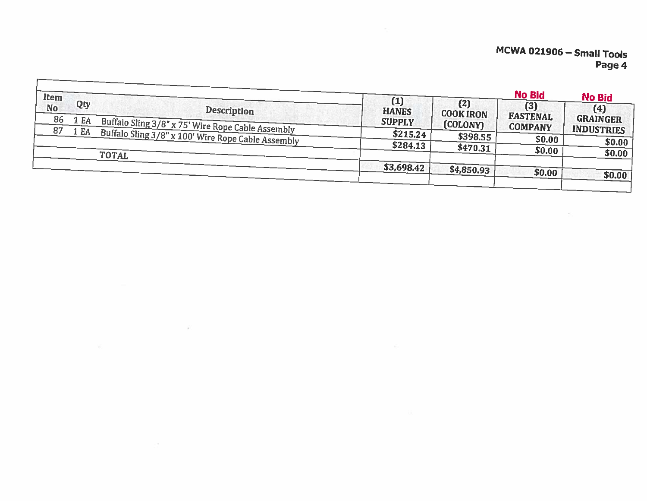| Item<br>Qty<br><b>No</b><br><b>Description</b><br>86<br>1 EA<br>Buffalo Sling 3/8" x 75' Wire Rope Cable Assembly<br>87<br>1 EA<br>Buffalo Sling 3/8" x 100' Wire Rope Cable Assembly<br><b>TOTAL</b> | $\left(1\right)$<br><b>HANES</b><br><b>SUPPLY</b><br>\$215.24<br>\$284.13 | (2)<br><b>COOK IRON</b><br>(COLONY)<br>\$398.55<br>\$470.31 | <b>No Bid</b><br>$(3)$<br><b>FASTENAL</b><br><b>COMPANY</b><br>\$0.00<br>\$0.00 | <b>No Bid</b><br>(4)<br><b>GRAINGER</b><br><b>INDUSTRIES</b><br>\$0.00<br>\$0.00 |
|-------------------------------------------------------------------------------------------------------------------------------------------------------------------------------------------------------|---------------------------------------------------------------------------|-------------------------------------------------------------|---------------------------------------------------------------------------------|----------------------------------------------------------------------------------|
|                                                                                                                                                                                                       | \$3,698.42                                                                | \$4,850.93                                                  | \$0.00                                                                          | \$0.00                                                                           |

 $\sim 10^7$ 

堂